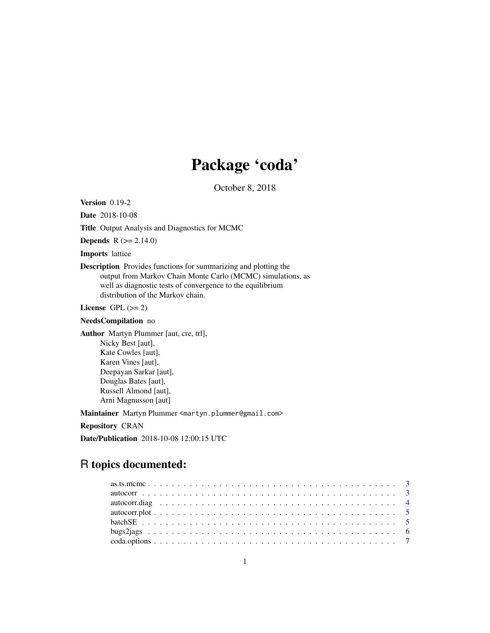# Package 'coda'

October 8, 2018

<span id="page-0-0"></span>Version 0.19-2

Date 2018-10-08

Title Output Analysis and Diagnostics for MCMC

Depends R (>= 2.14.0)

Imports lattice

Description Provides functions for summarizing and plotting the output from Markov Chain Monte Carlo (MCMC) simulations, as well as diagnostic tests of convergence to the equilibrium distribution of the Markov chain.

License GPL  $(>= 2)$ 

## NeedsCompilation no

Author Martyn Plummer [aut, cre, trl], Nicky Best [aut], Kate Cowles [aut], Karen Vines [aut], Deepayan Sarkar [aut], Douglas Bates [aut], Russell Almond [aut], Arni Magnusson [aut]

Maintainer Martyn Plummer <martyn.plummer@gmail.com>

Repository CRAN

Date/Publication 2018-10-08 12:00:15 UTC

# R topics documented: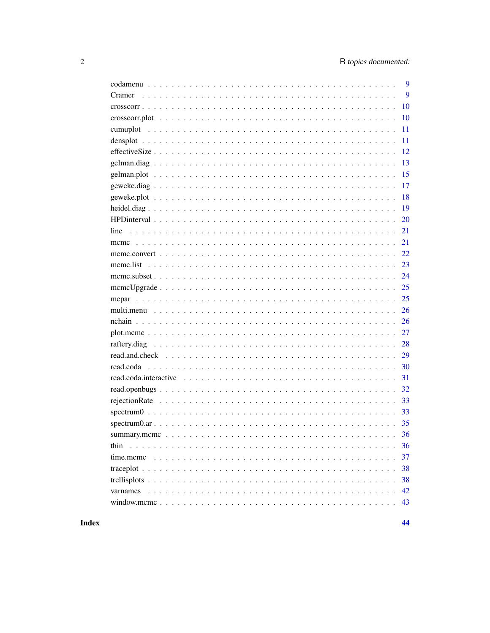|      | 9  |
|------|----|
|      | 9  |
|      | 10 |
|      | 10 |
|      | 11 |
|      | 11 |
|      | 12 |
|      | 13 |
|      | 15 |
|      | 17 |
|      | 18 |
|      | 19 |
|      | 20 |
|      | 21 |
|      | 21 |
|      | 22 |
|      | 23 |
|      |    |
|      | 25 |
|      | 25 |
|      | 26 |
|      | 26 |
|      | 27 |
|      | 28 |
|      | 29 |
|      | 30 |
|      | 31 |
|      | 32 |
|      | 33 |
|      |    |
|      |    |
|      |    |
| thin | 36 |
|      | 37 |
|      | 38 |
|      | 38 |
|      | 42 |
|      | 43 |

**Index**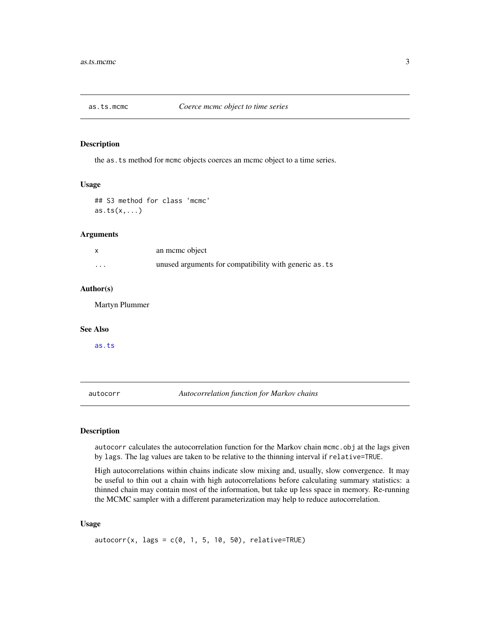<span id="page-2-0"></span>

the as.ts method for mcmc objects coerces an mcmc object to a time series.

## Usage

## S3 method for class 'mcmc'  $as.ts(x,...)$ 

## Arguments

|   | an meme object                                        |
|---|-------------------------------------------------------|
| . | unused arguments for compatibility with generic as ts |

#### Author(s)

Martyn Plummer

#### See Also

[as.ts](#page-0-0)

<span id="page-2-1"></span>autocorr *Autocorrelation function for Markov chains*

## Description

autocorr calculates the autocorrelation function for the Markov chain mcmc.obj at the lags given by lags. The lag values are taken to be relative to the thinning interval if relative=TRUE.

High autocorrelations within chains indicate slow mixing and, usually, slow convergence. It may be useful to thin out a chain with high autocorrelations before calculating summary statistics: a thinned chain may contain most of the information, but take up less space in memory. Re-running the MCMC sampler with a different parameterization may help to reduce autocorrelation.

## Usage

 $autocorr(x, lags = c(0, 1, 5, 10, 50), relative = TRUE)$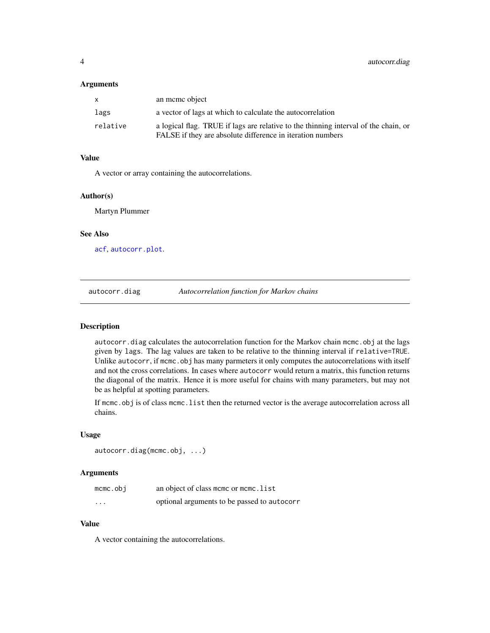#### <span id="page-3-0"></span>**Arguments**

|          | an meme object                                                                                                                                    |
|----------|---------------------------------------------------------------------------------------------------------------------------------------------------|
| lags     | a vector of lags at which to calculate the autocorrelation                                                                                        |
| relative | a logical flag. TRUE if lags are relative to the thinning interval of the chain, or<br>FALSE if they are absolute difference in iteration numbers |

## Value

A vector or array containing the autocorrelations.

#### Author(s)

Martyn Plummer

## See Also

[acf](#page-0-0), [autocorr.plot](#page-4-1).

autocorr.diag *Autocorrelation function for Markov chains*

## Description

autocorr.diag calculates the autocorrelation function for the Markov chain mcmc.obj at the lags given by lags. The lag values are taken to be relative to the thinning interval if relative=TRUE. Unlike autocorr, if mcmc.obj has many parmeters it only computes the autocorrelations with itself and not the cross correlations. In cases where autocorr would return a matrix, this function returns the diagonal of the matrix. Hence it is more useful for chains with many parameters, but may not be as helpful at spotting parameters.

If mcmc.obj is of class mcmc.list then the returned vector is the average autocorrelation across all chains.

## Usage

```
autocorr.diag(mcmc.obj, ...)
```
## Arguments

| mcmc.obi                | an object of class mcmc or mcmc. list       |
|-------------------------|---------------------------------------------|
| $\cdot$ $\cdot$ $\cdot$ | optional arguments to be passed to autocorr |

## Value

A vector containing the autocorrelations.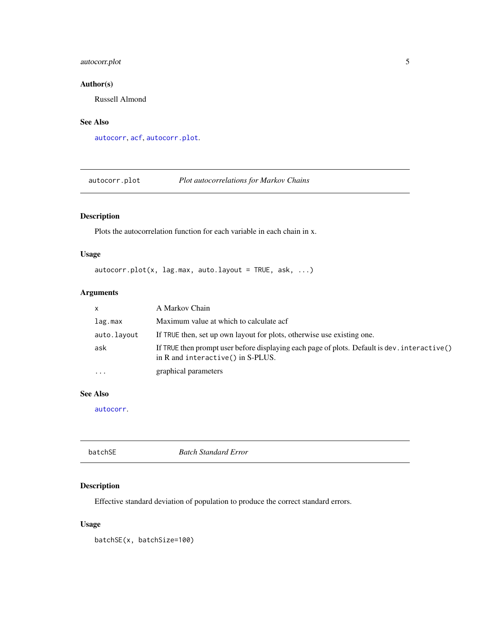## <span id="page-4-0"></span>autocorr.plot 5

## Author(s)

Russell Almond

## See Also

[autocorr](#page-2-1), [acf](#page-0-0), [autocorr.plot](#page-4-1).

<span id="page-4-1"></span>autocorr.plot *Plot autocorrelations for Markov Chains*

## Description

Plots the autocorrelation function for each variable in each chain in x.

## Usage

 $autocorr.plot(x, lag.max, auto.layout = TRUE, ask, ...)$ 

## Arguments

| X           | A Markov Chain                                                                                                                    |
|-------------|-----------------------------------------------------------------------------------------------------------------------------------|
| lag.max     | Maximum value at which to calculate acf                                                                                           |
| auto.layout | If TRUE then, set up own layout for plots, otherwise use existing one.                                                            |
| ask         | If TRUE then prompt user before displaying each page of plots. Default is dev. interactive()<br>in R and interactive() in S-PLUS. |
| $\cdots$    | graphical parameters                                                                                                              |

## See Also

[autocorr](#page-2-1).

| batchSE | <b>Batch Standard Error</b> |  |
|---------|-----------------------------|--|
|---------|-----------------------------|--|

## Description

Effective standard deviation of population to produce the correct standard errors.

## Usage

batchSE(x, batchSize=100)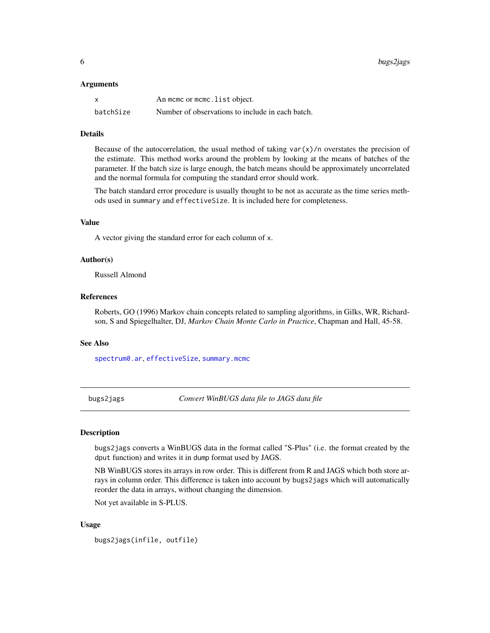#### <span id="page-5-0"></span>Arguments

| X         | An mome or mome. list object.                    |
|-----------|--------------------------------------------------|
| batchSize | Number of observations to include in each batch. |

## Details

Because of the autocorrelation, the usual method of taking  $var(x)/n$  overstates the precision of the estimate. This method works around the problem by looking at the means of batches of the parameter. If the batch size is large enough, the batch means should be approximately uncorrelated and the normal formula for computing the standard error should work.

The batch standard error procedure is usually thought to be not as accurate as the time series methods used in summary and effectiveSize. It is included here for completeness.

#### Value

A vector giving the standard error for each column of x.

## Author(s)

Russell Almond

## References

Roberts, GO (1996) Markov chain concepts related to sampling algorithms, in Gilks, WR, Richardson, S and Spiegelhalter, DJ, *Markov Chain Monte Carlo in Practice*, Chapman and Hall, 45-58.

## See Also

[spectrum0.ar](#page-34-1), [effectiveSize](#page-11-1), [summary.mcmc](#page-35-1)

bugs2jags *Convert WinBUGS data file to JAGS data file*

#### **Description**

bugs2jags converts a WinBUGS data in the format called "S-Plus" (i.e. the format created by the dput function) and writes it in dump format used by JAGS.

NB WinBUGS stores its arrays in row order. This is different from R and JAGS which both store arrays in column order. This difference is taken into account by bugs2jags which will automatically reorder the data in arrays, without changing the dimension.

Not yet available in S-PLUS.

## Usage

bugs2jags(infile, outfile)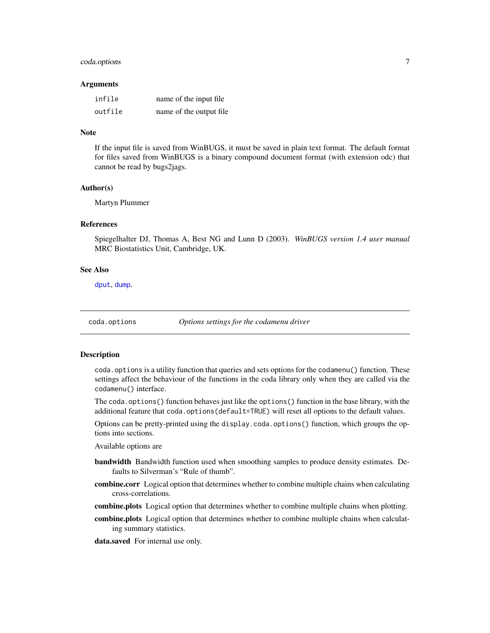## <span id="page-6-0"></span>coda.options 7

#### Arguments

| infile  | name of the input file. |
|---------|-------------------------|
| outfile | name of the output file |

#### Note

If the input file is saved from WinBUGS, it must be saved in plain text format. The default format for files saved from WinBUGS is a binary compound document format (with extension odc) that cannot be read by bugs2jags.

#### Author(s)

Martyn Plummer

## References

Spiegelhalter DJ, Thomas A, Best NG and Lunn D (2003). *WinBUGS version 1.4 user manual* MRC Biostatistics Unit, Cambridge, UK.

#### See Also

[dput](#page-0-0), [dump](#page-0-0).

coda.options *Options settings for the codamenu driver*

#### Description

coda.options is a utility function that queries and sets options for the codamenu() function. These settings affect the behaviour of the functions in the coda library only when they are called via the codamenu() interface.

The coda.options() function behaves just like the options() function in the base library, with the additional feature that coda.options(default=TRUE) will reset all options to the default values.

Options can be pretty-printed using the display.coda.options() function, which groups the options into sections.

Available options are

- bandwidth Bandwidth function used when smoothing samples to produce density estimates. Defaults to Silverman's "Rule of thumb".
- combine.corr Logical option that determines whether to combine multiple chains when calculating cross-correlations.
- combine.plots Logical option that determines whether to combine multiple chains when plotting.
- combine.plots Logical option that determines whether to combine multiple chains when calculating summary statistics.

data.saved For internal use only.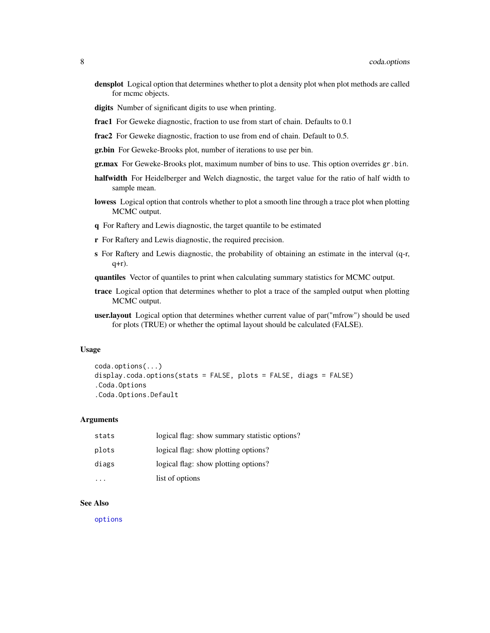- <span id="page-7-0"></span>densplot Logical option that determines whether to plot a density plot when plot methods are called for mcmc objects.
- digits Number of significant digits to use when printing.
- frac1 For Geweke diagnostic, fraction to use from start of chain. Defaults to 0.1
- frac2 For Geweke diagnostic, fraction to use from end of chain. Default to 0.5.
- gr.bin For Geweke-Brooks plot, number of iterations to use per bin.
- gr.max For Geweke-Brooks plot, maximum number of bins to use. This option overrides gr.bin.
- halfwidth For Heidelberger and Welch diagnostic, the target value for the ratio of half width to sample mean.
- lowess Logical option that controls whether to plot a smooth line through a trace plot when plotting MCMC output.
- q For Raftery and Lewis diagnostic, the target quantile to be estimated
- r For Raftery and Lewis diagnostic, the required precision.
- s For Raftery and Lewis diagnostic, the probability of obtaining an estimate in the interval (q-r, q+r).
- quantiles Vector of quantiles to print when calculating summary statistics for MCMC output.
- trace Logical option that determines whether to plot a trace of the sampled output when plotting MCMC output.
- user.layout Logical option that determines whether current value of par("mfrow") should be used for plots (TRUE) or whether the optimal layout should be calculated (FALSE).

#### Usage

```
coda.options(...)
display.coda.options(stats = FALSE, plots = FALSE, diags = FALSE)
.Coda.Options
.Coda.Options.Default
```
#### Arguments

| stats | logical flag: show summary statistic options? |
|-------|-----------------------------------------------|
| plots | logical flag: show plotting options?          |
| diags | logical flag: show plotting options?          |
| .     | list of options                               |

#### See Also

[options](#page-0-0)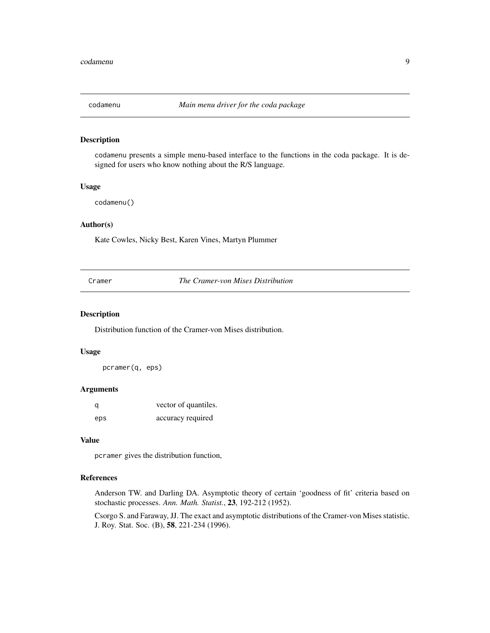<span id="page-8-1"></span><span id="page-8-0"></span>

codamenu presents a simple menu-based interface to the functions in the coda package. It is designed for users who know nothing about the R/S language.

#### Usage

codamenu()

## Author(s)

Kate Cowles, Nicky Best, Karen Vines, Martyn Plummer

Cramer *The Cramer-von Mises Distribution*

#### Description

Distribution function of the Cramer-von Mises distribution.

## Usage

pcramer(q, eps)

#### Arguments

| q   | vector of quantiles. |
|-----|----------------------|
| eps | accuracy required    |

## Value

pcramer gives the distribution function,

## References

Anderson TW. and Darling DA. Asymptotic theory of certain 'goodness of fit' criteria based on stochastic processes. *Ann. Math. Statist.*, 23, 192-212 (1952).

Csorgo S. and Faraway, JJ. The exact and asymptotic distributions of the Cramer-von Mises statistic. J. Roy. Stat. Soc. (B), 58, 221-234 (1996).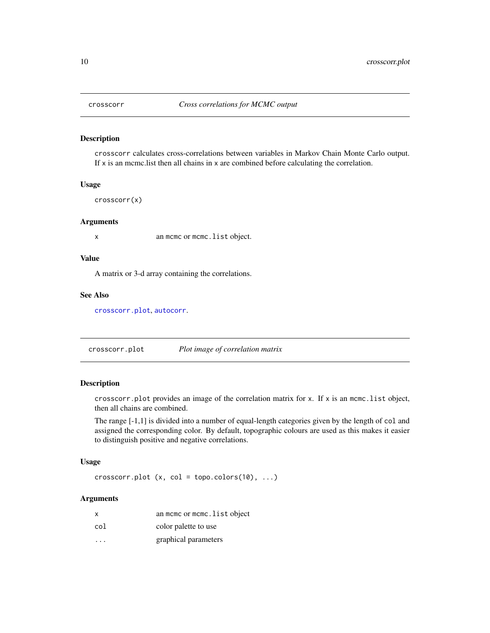<span id="page-9-2"></span><span id="page-9-0"></span>

crosscorr calculates cross-correlations between variables in Markov Chain Monte Carlo output. If x is an mcmc.list then all chains in x are combined before calculating the correlation.

#### Usage

crosscorr(x)

#### Arguments

x an mcmc or mcmc.list object.

## Value

A matrix or 3-d array containing the correlations.

#### See Also

[crosscorr.plot](#page-9-1), [autocorr](#page-2-1).

<span id="page-9-1"></span>crosscorr.plot *Plot image of correlation matrix*

## Description

crosscorr.plot provides an image of the correlation matrix for x. If x is an mcmc.list object, then all chains are combined.

The range [-1,1] is divided into a number of equal-length categories given by the length of col and assigned the corresponding color. By default, topographic colours are used as this makes it easier to distinguish positive and negative correlations.

## Usage

crosscorr.plot  $(x, col = topo.close(10), ...)$ 

## Arguments

| x                       | an mcmc or mcmc. list object |
|-------------------------|------------------------------|
| col                     | color palette to use         |
| $\cdot$ $\cdot$ $\cdot$ | graphical parameters         |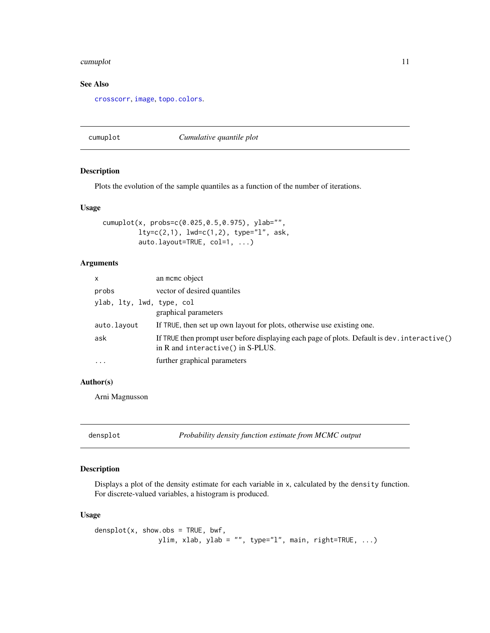#### <span id="page-10-0"></span>cumuplot the community of the community of the community of the community of the community of the community of the community of the community of the community of the community of the community of the community of the commu

## See Also

[crosscorr](#page-9-2), [image](#page-0-0), [topo.colors](#page-0-0).

## cumuplot *Cumulative quantile plot*

## Description

Plots the evolution of the sample quantiles as a function of the number of iterations.

## Usage

```
cumuplot(x, probs=c(0.025,0.5,0.975), ylab="",
         lty=c(2,1), lwd=c(1,2), type="l", ask,
         auto.layout=TRUE, col=1, ...)
```
## Arguments

| $\mathsf{x}$              | an mome object                                                                                                                    |
|---------------------------|-----------------------------------------------------------------------------------------------------------------------------------|
| probs                     | vector of desired quantiles                                                                                                       |
| ylab, lty, lwd, type, col | graphical parameters                                                                                                              |
| auto.layout               | If TRUE, then set up own layout for plots, otherwise use existing one.                                                            |
| ask                       | If TRUE then prompt user before displaying each page of plots. Default is dev. interactive()<br>in R and interactive() in S-PLUS. |
| $\ddotsc$                 | further graphical parameters                                                                                                      |

## Author(s)

Arni Magnusson

<span id="page-10-1"></span>densplot *Probability density function estimate from MCMC output*

## Description

Displays a plot of the density estimate for each variable in x, calculated by the density function. For discrete-valued variables, a histogram is produced.

## Usage

 $density(x, show.obs = TRUE, bwf,$ ylim, xlab, ylab = "", type="l", main, right=TRUE, ...)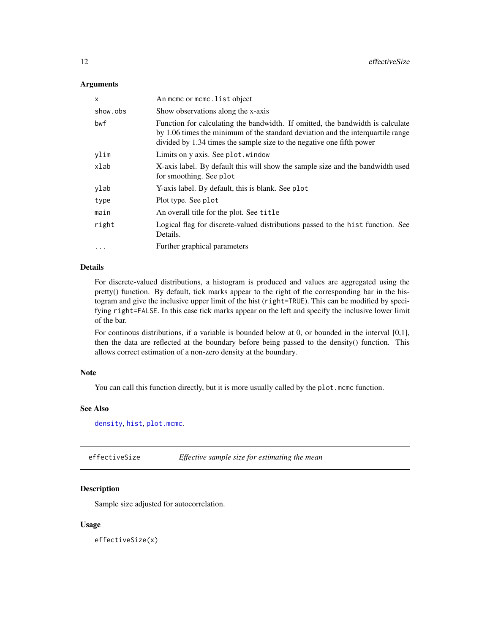## <span id="page-11-0"></span>**Arguments**

| X          | An mome or mome. list object                                                                                                                                                                                                               |
|------------|--------------------------------------------------------------------------------------------------------------------------------------------------------------------------------------------------------------------------------------------|
| show.obs   | Show observations along the x-axis                                                                                                                                                                                                         |
| bwf        | Function for calculating the bandwidth. If omitted, the bandwidth is calculate<br>by 1.06 times the minimum of the standard deviation and the interquartile range<br>divided by 1.34 times the sample size to the negative one fifth power |
| ylim       | Limits on y axis. See plot . window                                                                                                                                                                                                        |
| xlab       | X-axis label. By default this will show the sample size and the bandwidth used<br>for smoothing. See plot                                                                                                                                  |
| ylab       | Y-axis label. By default, this is blank. See plot                                                                                                                                                                                          |
| type       | Plot type. See plot                                                                                                                                                                                                                        |
| main       | An overall title for the plot. See title                                                                                                                                                                                                   |
| right      | Logical flag for discrete-valued distributions passed to the hist function. See<br>Details.                                                                                                                                                |
| $\ddots$ . | Further graphical parameters                                                                                                                                                                                                               |

## Details

For discrete-valued distributions, a histogram is produced and values are aggregated using the pretty() function. By default, tick marks appear to the right of the corresponding bar in the histogram and give the inclusive upper limit of the hist (right=TRUE). This can be modified by specifying right=FALSE. In this case tick marks appear on the left and specify the inclusive lower limit of the bar.

For continous distributions, if a variable is bounded below at 0, or bounded in the interval [0,1], then the data are reflected at the boundary before being passed to the density() function. This allows correct estimation of a non-zero density at the boundary.

#### Note

You can call this function directly, but it is more usually called by the plot.mcmc function.

## See Also

[density](#page-0-0), [hist](#page-0-0), [plot.mcmc](#page-26-1).

<span id="page-11-1"></span>effectiveSize *Effective sample size for estimating the mean*

## Description

Sample size adjusted for autocorrelation.

#### Usage

effectiveSize(x)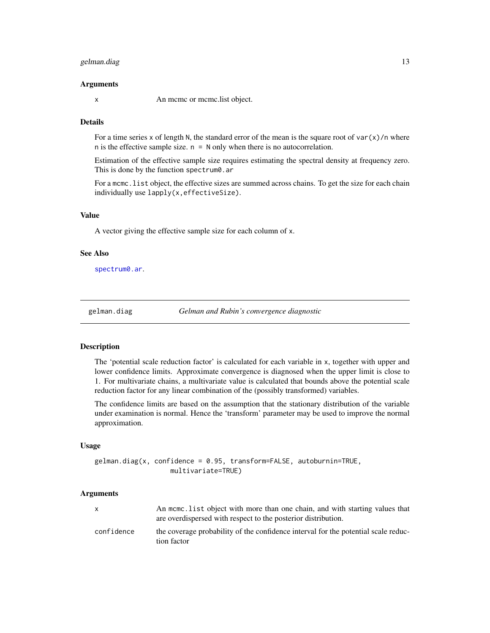## <span id="page-12-0"></span>gelman.diag 13

#### Arguments

x An mcmc or mcmc.list object.

#### Details

For a time series x of length N, the standard error of the mean is the square root of var $(x)/n$  where n is the effective sample size.  $n = N$  only when there is no autocorrelation.

Estimation of the effective sample size requires estimating the spectral density at frequency zero. This is done by the function spectrum0.ar

For a mcmc. list object, the effective sizes are summed across chains. To get the size for each chain individually use lapply(x,effectiveSize).

## Value

A vector giving the effective sample size for each column of x.

#### See Also

[spectrum0.ar](#page-34-1).

<span id="page-12-1"></span>gelman.diag *Gelman and Rubin's convergence diagnostic*

#### Description

The 'potential scale reduction factor' is calculated for each variable in x, together with upper and lower confidence limits. Approximate convergence is diagnosed when the upper limit is close to 1. For multivariate chains, a multivariate value is calculated that bounds above the potential scale reduction factor for any linear combination of the (possibly transformed) variables.

The confidence limits are based on the assumption that the stationary distribution of the variable under examination is normal. Hence the 'transform' parameter may be used to improve the normal approximation.

#### Usage

gelman.diag(x, confidence = 0.95, transform=FALSE, autoburnin=TRUE, multivariate=TRUE)

#### Arguments

| X          | An mome, list object with more than one chain, and with starting values that<br>are overdispersed with respect to the posterior distribution. |
|------------|-----------------------------------------------------------------------------------------------------------------------------------------------|
| confidence | the coverage probability of the confidence interval for the potential scale reduc-<br>tion factor                                             |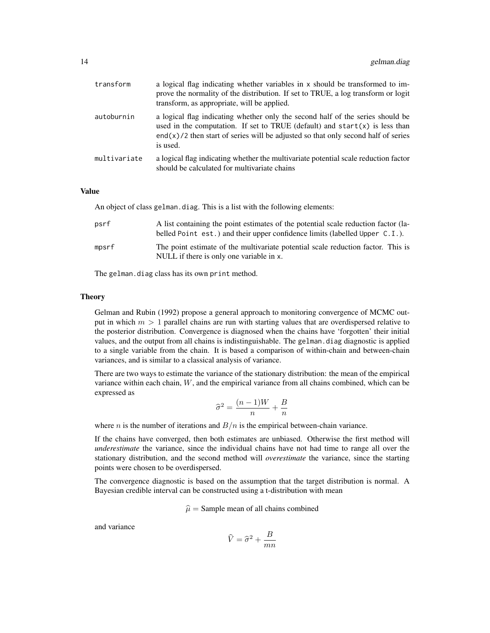| transform    | a logical flag indicating whether variables in x should be transformed to im-<br>prove the normality of the distribution. If set to TRUE, a log transform or logit<br>transform, as appropriate, will be applied.                                                         |
|--------------|---------------------------------------------------------------------------------------------------------------------------------------------------------------------------------------------------------------------------------------------------------------------------|
| autoburnin   | a logical flag indicating whether only the second half of the series should be<br>used in the computation. If set to TRUE (default) and $start(x)$ is less than<br>$\text{end}(x)/2$ then start of series will be adjusted so that only second half of series<br>is used. |
| multivariate | a logical flag indicating whether the multivariate potential scale reduction factor<br>should be calculated for multivariate chains                                                                                                                                       |

## Value

An object of class gelman.diag. This is a list with the following elements:

| psrf  | A list containing the point estimates of the potential scale reduction factor (la-<br>belled Point est.) and their upper confidence limits (labelled Upper $C.I.$ ). |
|-------|----------------------------------------------------------------------------------------------------------------------------------------------------------------------|
| mpsrf | The point estimate of the multivariate potential scale reduction factor. This is<br>NULL if there is only one variable in x.                                         |

The gelman.diag class has its own print method.

#### Theory

Gelman and Rubin (1992) propose a general approach to monitoring convergence of MCMC output in which  $m > 1$  parallel chains are run with starting values that are overdispersed relative to the posterior distribution. Convergence is diagnosed when the chains have 'forgotten' their initial values, and the output from all chains is indistinguishable. The gelman.diag diagnostic is applied to a single variable from the chain. It is based a comparison of within-chain and between-chain variances, and is similar to a classical analysis of variance.

There are two ways to estimate the variance of the stationary distribution: the mean of the empirical variance within each chain,  $W$ , and the empirical variance from all chains combined, which can be expressed as

$$
\widehat{\sigma}^2 = \frac{(n-1)W}{n} + \frac{B}{n}
$$

where *n* is the number of iterations and  $B/n$  is the empirical between-chain variance.

If the chains have converged, then both estimates are unbiased. Otherwise the first method will *underestimate* the variance, since the individual chains have not had time to range all over the stationary distribution, and the second method will *overestimate* the variance, since the starting points were chosen to be overdispersed.

The convergence diagnostic is based on the assumption that the target distribution is normal. A Bayesian credible interval can be constructed using a t-distribution with mean

 $\hat{\mu}$  = Sample mean of all chains combined

and variance

$$
\widehat{V} = \widehat{\sigma}^2 + \frac{B}{mn}
$$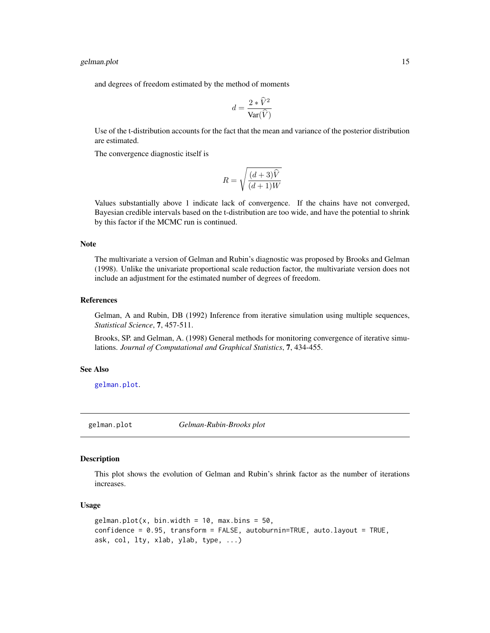#### <span id="page-14-0"></span>gelman.plot 15

and degrees of freedom estimated by the method of moments

$$
d = \frac{2 * \widehat{V}^2}{\text{Var}(\widehat{V})}
$$

Use of the t-distribution accounts for the fact that the mean and variance of the posterior distribution are estimated.

The convergence diagnostic itself is

$$
R = \sqrt{\frac{(d+3)\hat{V}}{(d+1)W}}
$$

Values substantially above 1 indicate lack of convergence. If the chains have not converged, Bayesian credible intervals based on the t-distribution are too wide, and have the potential to shrink by this factor if the MCMC run is continued.

#### Note

The multivariate a version of Gelman and Rubin's diagnostic was proposed by Brooks and Gelman (1998). Unlike the univariate proportional scale reduction factor, the multivariate version does not include an adjustment for the estimated number of degrees of freedom.

## References

Gelman, A and Rubin, DB (1992) Inference from iterative simulation using multiple sequences, *Statistical Science*, 7, 457-511.

Brooks, SP. and Gelman, A. (1998) General methods for monitoring convergence of iterative simulations. *Journal of Computational and Graphical Statistics*, 7, 434-455.

## See Also

[gelman.plot](#page-14-1).

<span id="page-14-1"></span>gelman.plot *Gelman-Rubin-Brooks plot*

#### **Description**

This plot shows the evolution of Gelman and Rubin's shrink factor as the number of iterations increases.

#### Usage

```
gelman.plot(x, bin.width = 10, max.bins = 50,
confidence = 0.95, transform = FALSE, autoburnin=TRUE, auto.layout = TRUE,
ask, col, lty, xlab, ylab, type, ...)
```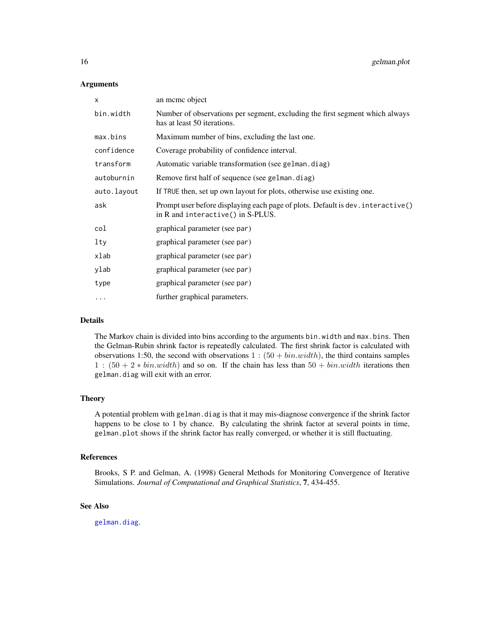#### <span id="page-15-0"></span>**Arguments**

| X           | an meme object                                                                                                       |
|-------------|----------------------------------------------------------------------------------------------------------------------|
| bin.width   | Number of observations per segment, excluding the first segment which always<br>has at least 50 iterations.          |
| max.bins    | Maximum number of bins, excluding the last one.                                                                      |
| confidence  | Coverage probability of confidence interval.                                                                         |
| transform   | Automatic variable transformation (see gelman.diag)                                                                  |
| autoburnin  | Remove first half of sequence (see gelman.diag)                                                                      |
| auto.layout | If TRUE then, set up own layout for plots, otherwise use existing one.                                               |
| ask         | Prompt user before displaying each page of plots. Default is dev. interactive()<br>in R and interactive() in S-PLUS. |
| col         | graphical parameter (see par)                                                                                        |
| lty         | graphical parameter (see par)                                                                                        |
| xlab        | graphical parameter (see par)                                                                                        |
| ylab        | graphical parameter (see par)                                                                                        |
| type        | graphical parameter (see par)                                                                                        |
| $\cdots$    | further graphical parameters.                                                                                        |

## Details

The Markov chain is divided into bins according to the arguments bin.width and max.bins. Then the Gelman-Rubin shrink factor is repeatedly calculated. The first shrink factor is calculated with observations 1:50, the second with observations  $1:(50 + bin.width)$ , the third contains samples 1 :  $(50 + 2 * bin.width)$  and so on. If the chain has less than  $50 + bin.width$  iterations then gelman.diag will exit with an error.

#### Theory

A potential problem with gelman.diag is that it may mis-diagnose convergence if the shrink factor happens to be close to 1 by chance. By calculating the shrink factor at several points in time, gelman.plot shows if the shrink factor has really converged, or whether it is still fluctuating.

## References

Brooks, S P. and Gelman, A. (1998) General Methods for Monitoring Convergence of Iterative Simulations. *Journal of Computational and Graphical Statistics*, 7, 434-455.

## See Also

[gelman.diag](#page-12-1).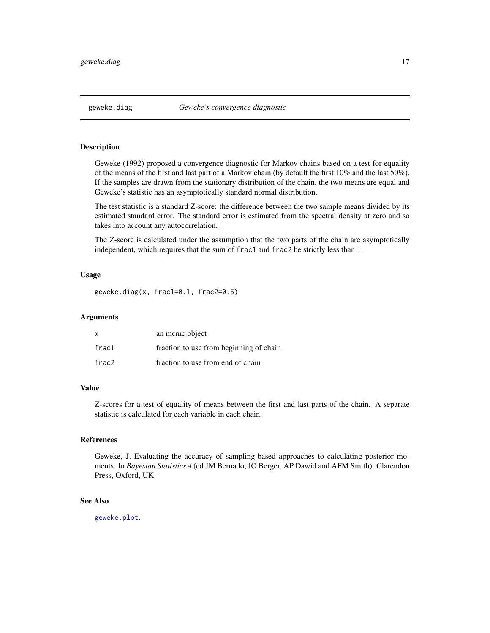<span id="page-16-1"></span><span id="page-16-0"></span>

Geweke (1992) proposed a convergence diagnostic for Markov chains based on a test for equality of the means of the first and last part of a Markov chain (by default the first 10% and the last 50%). If the samples are drawn from the stationary distribution of the chain, the two means are equal and Geweke's statistic has an asymptotically standard normal distribution.

The test statistic is a standard Z-score: the difference between the two sample means divided by its estimated standard error. The standard error is estimated from the spectral density at zero and so takes into account any autocorrelation.

The Z-score is calculated under the assumption that the two parts of the chain are asymptotically independent, which requires that the sum of frac1 and frac2 be strictly less than 1.

#### Usage

geweke.diag(x, frac1=0.1, frac2=0.5)

#### Arguments

| x     | an meme object                          |
|-------|-----------------------------------------|
| frac1 | fraction to use from beginning of chain |
| frac2 | fraction to use from end of chain       |

#### Value

Z-scores for a test of equality of means between the first and last parts of the chain. A separate statistic is calculated for each variable in each chain.

## References

Geweke, J. Evaluating the accuracy of sampling-based approaches to calculating posterior moments. In *Bayesian Statistics 4* (ed JM Bernado, JO Berger, AP Dawid and AFM Smith). Clarendon Press, Oxford, UK.

## See Also

[geweke.plot](#page-17-1).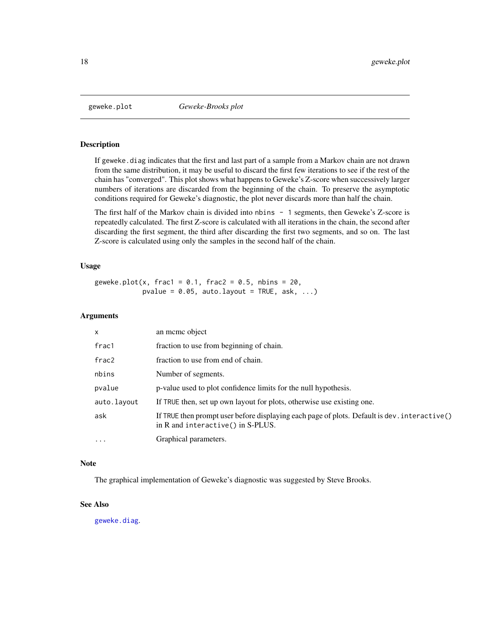<span id="page-17-1"></span><span id="page-17-0"></span>

If geweke.diag indicates that the first and last part of a sample from a Markov chain are not drawn from the same distribution, it may be useful to discard the first few iterations to see if the rest of the chain has "converged". This plot shows what happens to Geweke's Z-score when successively larger numbers of iterations are discarded from the beginning of the chain. To preserve the asymptotic conditions required for Geweke's diagnostic, the plot never discards more than half the chain.

The first half of the Markov chain is divided into nbins - 1 segments, then Geweke's Z-score is repeatedly calculated. The first Z-score is calculated with all iterations in the chain, the second after discarding the first segment, the third after discarding the first two segments, and so on. The last Z-score is calculated using only the samples in the second half of the chain.

### Usage

geweke.plot(x, frac1 =  $0.1$ , frac2 =  $0.5$ , nbins =  $20$ , pvalue =  $0.05$ , auto.layout = TRUE, ask, ...)

## Arguments

| x           | an meme object                                                                                                                    |
|-------------|-----------------------------------------------------------------------------------------------------------------------------------|
| frac1       | fraction to use from beginning of chain.                                                                                          |
| frac2       | fraction to use from end of chain.                                                                                                |
| nbins       | Number of segments.                                                                                                               |
| pvalue      | p-value used to plot confidence limits for the null hypothesis.                                                                   |
| auto.layout | If TRUE then, set up own layout for plots, otherwise use existing one.                                                            |
| ask         | If TRUE then prompt user before displaying each page of plots. Default is dev. interactive()<br>in R and interactive() in S-PLUS. |
| $\ddotsc$   | Graphical parameters.                                                                                                             |

#### Note

The graphical implementation of Geweke's diagnostic was suggested by Steve Brooks.

#### See Also

[geweke.diag](#page-16-1).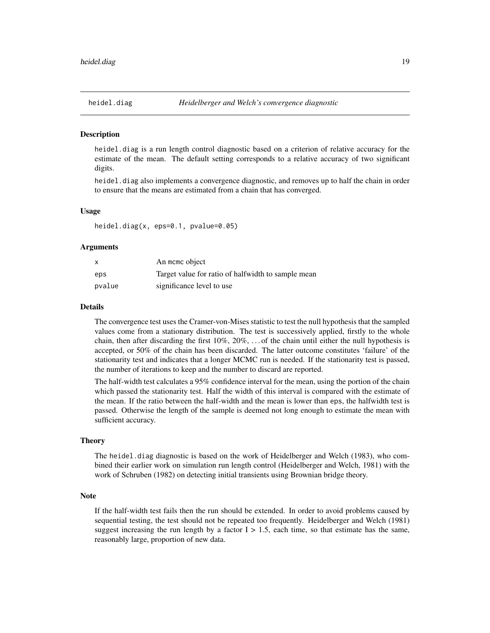<span id="page-18-0"></span>

heidel.diag is a run length control diagnostic based on a criterion of relative accuracy for the estimate of the mean. The default setting corresponds to a relative accuracy of two significant digits.

heidel.diag also implements a convergence diagnostic, and removes up to half the chain in order to ensure that the means are estimated from a chain that has converged.

## Usage

heidel.diag(x, eps=0.1, pvalue=0.05)

## **Arguments**

| X      | An mome object                                     |
|--------|----------------------------------------------------|
| eps    | Target value for ratio of halfwidth to sample mean |
| pvalue | significance level to use                          |

#### Details

The convergence test uses the Cramer-von-Mises statistic to test the null hypothesis that the sampled values come from a stationary distribution. The test is successively applied, firstly to the whole chain, then after discarding the first  $10\%$ ,  $20\%$ , ... of the chain until either the null hypothesis is accepted, or 50% of the chain has been discarded. The latter outcome constitutes 'failure' of the stationarity test and indicates that a longer MCMC run is needed. If the stationarity test is passed, the number of iterations to keep and the number to discard are reported.

The half-width test calculates a 95% confidence interval for the mean, using the portion of the chain which passed the stationarity test. Half the width of this interval is compared with the estimate of the mean. If the ratio between the half-width and the mean is lower than eps, the halfwidth test is passed. Otherwise the length of the sample is deemed not long enough to estimate the mean with sufficient accuracy.

#### **Theory**

The heidel.diag diagnostic is based on the work of Heidelberger and Welch (1983), who combined their earlier work on simulation run length control (Heidelberger and Welch, 1981) with the work of Schruben (1982) on detecting initial transients using Brownian bridge theory.

#### **Note**

If the half-width test fails then the run should be extended. In order to avoid problems caused by sequential testing, the test should not be repeated too frequently. Heidelberger and Welch (1981) suggest increasing the run length by a factor  $I > 1.5$ , each time, so that estimate has the same, reasonably large, proportion of new data.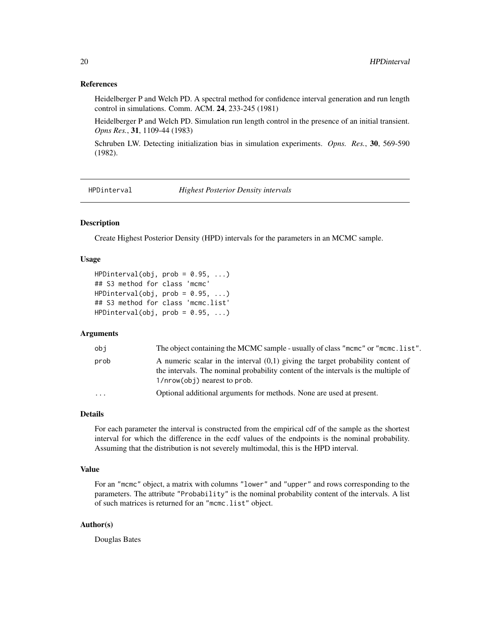## <span id="page-19-0"></span>References

Heidelberger P and Welch PD. A spectral method for confidence interval generation and run length control in simulations. Comm. ACM. 24, 233-245 (1981)

Heidelberger P and Welch PD. Simulation run length control in the presence of an initial transient. *Opns Res.*, 31, 1109-44 (1983)

Schruben LW. Detecting initialization bias in simulation experiments. *Opns. Res.*, 30, 569-590 (1982).

HPDinterval *Highest Posterior Density intervals*

## Description

Create Highest Posterior Density (HPD) intervals for the parameters in an MCMC sample.

#### Usage

```
HPDinterval(obj, prob = 0.95, ...)## S3 method for class 'mcmc'
HPDinterval(obj, prob = 0.95, ...)## S3 method for class 'mcmc.list'
HPDinterval(obj, prob = 0.95, ...)
```
## Arguments

| obi  | The object containing the MCMC sample - usually of class "mcmc" or "mcmc.list".                                                                                                                         |
|------|---------------------------------------------------------------------------------------------------------------------------------------------------------------------------------------------------------|
| prob | A numeric scalar in the interval $(0,1)$ giving the target probability content of<br>the intervals. The nominal probability content of the intervals is the multiple of<br>1/nrow(obj) nearest to prob. |
| .    | Optional additional arguments for methods. None are used at present.                                                                                                                                    |

## Details

For each parameter the interval is constructed from the empirical cdf of the sample as the shortest interval for which the difference in the ecdf values of the endpoints is the nominal probability. Assuming that the distribution is not severely multimodal, this is the HPD interval.

#### Value

For an "mcmc" object, a matrix with columns "lower" and "upper" and rows corresponding to the parameters. The attribute "Probability" is the nominal probability content of the intervals. A list of such matrices is returned for an "mcmc.list" object.

## Author(s)

Douglas Bates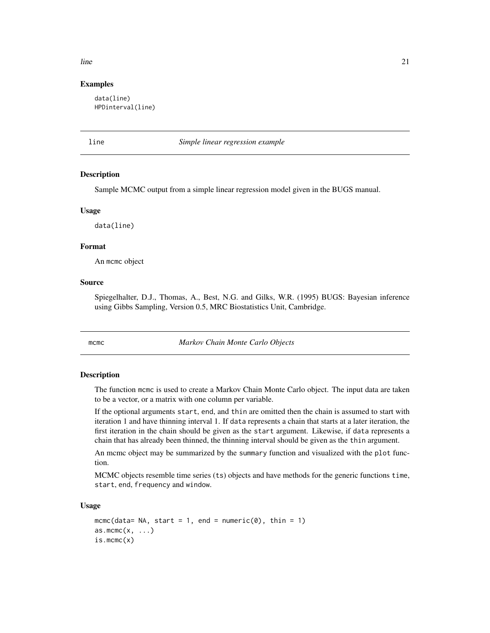## <span id="page-20-0"></span> $\lim$  21

## Examples

data(line) HPDinterval(line)

line *Simple linear regression example*

#### Description

Sample MCMC output from a simple linear regression model given in the BUGS manual.

#### Usage

data(line)

## Format

An mcmc object

## Source

Spiegelhalter, D.J., Thomas, A., Best, N.G. and Gilks, W.R. (1995) BUGS: Bayesian inference using Gibbs Sampling, Version 0.5, MRC Biostatistics Unit, Cambridge.

<span id="page-20-2"></span>mcmc *Markov Chain Monte Carlo Objects*

#### <span id="page-20-1"></span>Description

The function mcmc is used to create a Markov Chain Monte Carlo object. The input data are taken to be a vector, or a matrix with one column per variable.

If the optional arguments start, end, and thin are omitted then the chain is assumed to start with iteration 1 and have thinning interval 1. If data represents a chain that starts at a later iteration, the first iteration in the chain should be given as the start argument. Likewise, if data represents a chain that has already been thinned, the thinning interval should be given as the thin argument.

An mcmc object may be summarized by the summary function and visualized with the plot function.

MCMC objects resemble time series (ts) objects and have methods for the generic functions time, start, end, frequency and window.

#### Usage

```
mcmc(data= NA, start = 1, end = numeric(0), thin = 1)
as.mcmc(x, \ldots)is.mcmc(x)
```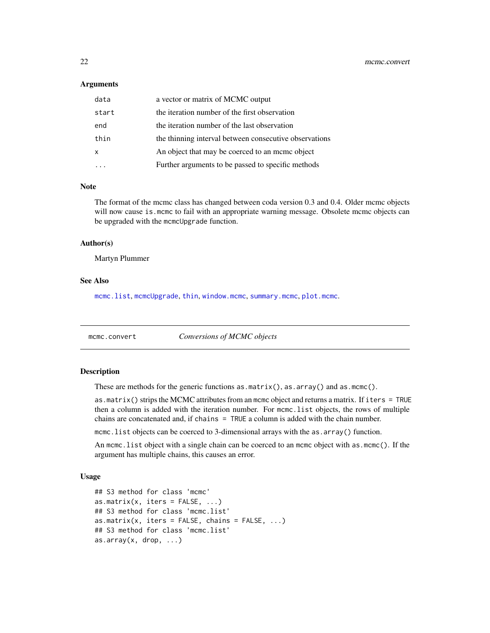#### <span id="page-21-0"></span>**Arguments**

| data  | a vector or matrix of MCMC output                      |
|-------|--------------------------------------------------------|
| start | the iteration number of the first observation          |
| end   | the iteration number of the last observation           |
| thin  | the thinning interval between consecutive observations |
| X     | An object that may be coerced to an meme object        |
|       | Further arguments to be passed to specific methods     |

#### Note

The format of the mcmc class has changed between coda version 0.3 and 0.4. Older mcmc objects will now cause is.mcmc to fail with an appropriate warning message. Obsolete mcmc objects can be upgraded with the mcmcUpgrade function.

## Author(s)

Martyn Plummer

## See Also

[mcmc.list](#page-22-1), [mcmcUpgrade](#page-24-1), [thin](#page-35-2), [window.mcmc](#page-42-1), [summary.mcmc](#page-35-1), [plot.mcmc](#page-26-1).

mcmc.convert *Conversions of MCMC objects*

## Description

These are methods for the generic functions as.matrix(), as.array() and as.mcmc().

as.matrix() strips the MCMC attributes from an mcmc object and returns a matrix. If iters = TRUE then a column is added with the iteration number. For mcmc.list objects, the rows of multiple chains are concatenated and, if chains = TRUE a column is added with the chain number.

mcmc. list objects can be coerced to 3-dimensional arrays with the as. array() function.

An mcmc.list object with a single chain can be coerced to an mcmc object with as.mcmc(). If the argument has multiple chains, this causes an error.

## Usage

```
## S3 method for class 'mcmc'
as.matrix(x, iters = FALSE, ...)
## S3 method for class 'mcmc.list'
as.matrix(x, iters = FALSE, chains = FALSE, \ldots)
## S3 method for class 'mcmc.list'
as.array(x, drop, ...)
```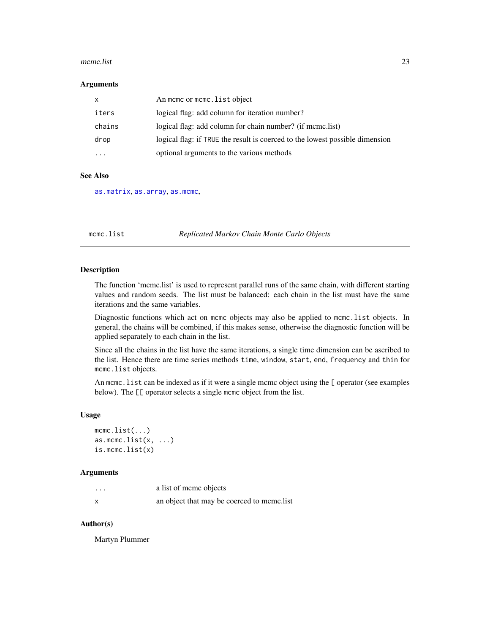#### <span id="page-22-0"></span>mcmc.list  $\frac{23}{2}$

#### **Arguments**

| $\boldsymbol{\mathsf{x}}$ | An mome or mome. list object                                                 |
|---------------------------|------------------------------------------------------------------------------|
| iters                     | logical flag: add column for iteration number?                               |
| chains                    | logical flag: add column for chain number? (if mcmc.list)                    |
| drop                      | logical flag: if TRUE the result is coerced to the lowest possible dimension |
| $\ddotsc$                 | optional arguments to the various methods                                    |

## See Also

[as.matrix](#page-0-0), [as.array](#page-0-0), [as.mcmc](#page-20-1),

<span id="page-22-1"></span>mcmc.list *Replicated Markov Chain Monte Carlo Objects*

#### **Description**

The function 'mcmc.list' is used to represent parallel runs of the same chain, with different starting values and random seeds. The list must be balanced: each chain in the list must have the same iterations and the same variables.

Diagnostic functions which act on mcmc objects may also be applied to mcmc.list objects. In general, the chains will be combined, if this makes sense, otherwise the diagnostic function will be applied separately to each chain in the list.

Since all the chains in the list have the same iterations, a single time dimension can be ascribed to the list. Hence there are time series methods time, window, start, end, frequency and thin for mcmc.list objects.

An mcmc. list can be indexed as if it were a single mcmc object using the [ operator (see examples below). The  $\llbracket \llbracket$  operator selects a single mcmc object from the list.

## Usage

```
mcmc.list(...)
as.mcmc.list(x, \ldots)is.mcmc.list(x)
```
## Arguments

| $\cdots$ | a list of meme objects                     |
|----------|--------------------------------------------|
|          | an object that may be coerced to mcmc.list |

## Author(s)

Martyn Plummer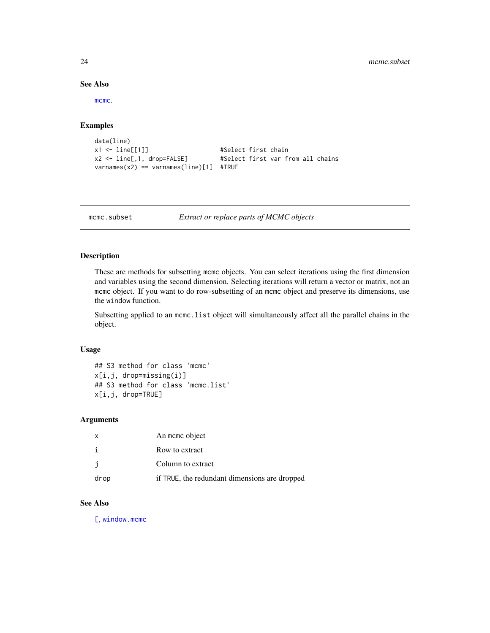## See Also

[mcmc](#page-20-2).

## Examples

```
data(line)
x1 <- line[[1]] #Select first chain
x2 <- line[,1, drop=FALSE] #Select first var from all chains
varnames(x2) == varnames(line)[1] #TRUE
```
mcmc.subset *Extract or replace parts of MCMC objects*

## Description

These are methods for subsetting mcmc objects. You can select iterations using the first dimension and variables using the second dimension. Selecting iterations will return a vector or matrix, not an mcmc object. If you want to do row-subsetting of an mcmc object and preserve its dimensions, use the window function.

Subsetting applied to an mcmc.list object will simultaneously affect all the parallel chains in the object.

#### Usage

```
## S3 method for class 'mcmc'
x[i,j, drop=missing(i)]
## S3 method for class 'mcmc.list'
x[i,j, drop=TRUE]
```
#### Arguments

| $\mathsf{x}$ | An mome object                                |
|--------------|-----------------------------------------------|
|              | Row to extract                                |
|              | Column to extract                             |
| drop         | if TRUE, the redundant dimensions are dropped |

## See Also

[\[](#page-0-0), [window.mcmc](#page-42-1)

<span id="page-23-0"></span>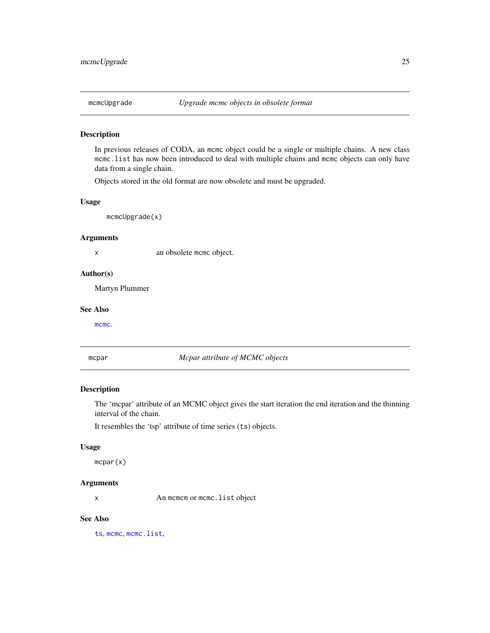<span id="page-24-1"></span><span id="page-24-0"></span>

In previous releases of CODA, an mcmc object could be a single or multiple chains. A new class mcmc.list has now been introduced to deal with multiple chains and mcmc objects can only have data from a single chain.

Objects stored in the old format are now obsolete and must be upgraded.

## Usage

mcmcUpgrade(x)

#### Arguments

x an obsolete mcmc object.

#### Author(s)

Martyn Plummer

## See Also

[mcmc](#page-20-2).

mcpar *Mcpar attribute of MCMC objects*

## Description

The 'mcpar' attribute of an MCMC object gives the start iteration the end iteration and the thinning interval of the chain.

It resembles the 'tsp' attribute of time series (ts) objects.

#### Usage

mcpar(x)

## Arguments

x An mcmcm or mcmc.list object

## See Also

[ts](#page-0-0), [mcmc](#page-20-2), [mcmc.list](#page-22-1),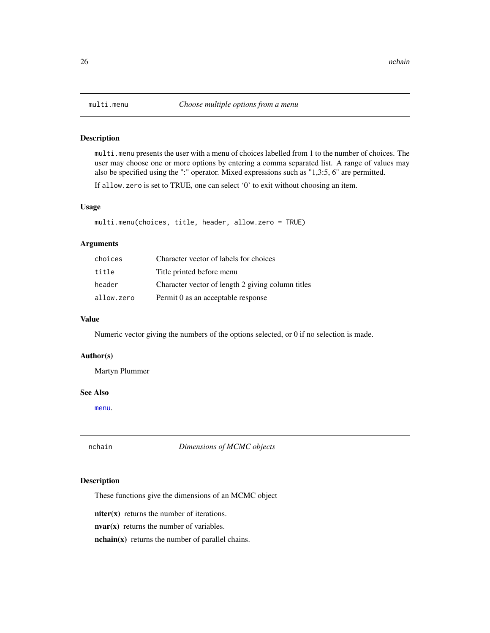multi.menu presents the user with a menu of choices labelled from 1 to the number of choices. The user may choose one or more options by entering a comma separated list. A range of values may also be specified using the ":" operator. Mixed expressions such as "1,3:5, 6" are permitted.

If allow.zero is set to TRUE, one can select '0' to exit without choosing an item.

## Usage

```
multi.menu(choices, title, header, allow.zero = TRUE)
```
## Arguments

| choices    | Character vector of labels for choices            |
|------------|---------------------------------------------------|
| title      | Title printed before menu                         |
| header     | Character vector of length 2 giving column titles |
| allow.zero | Permit 0 as an acceptable response                |

## Value

Numeric vector giving the numbers of the options selected, or 0 if no selection is made.

#### Author(s)

Martyn Plummer

#### See Also

[menu](#page-0-0).

nchain *Dimensions of MCMC objects*

#### Description

These functions give the dimensions of an MCMC object

niter(x) returns the number of iterations.

 $\mathbf{nvar}(\mathbf{x})$  returns the number of variables.

nchain(x) returns the number of parallel chains.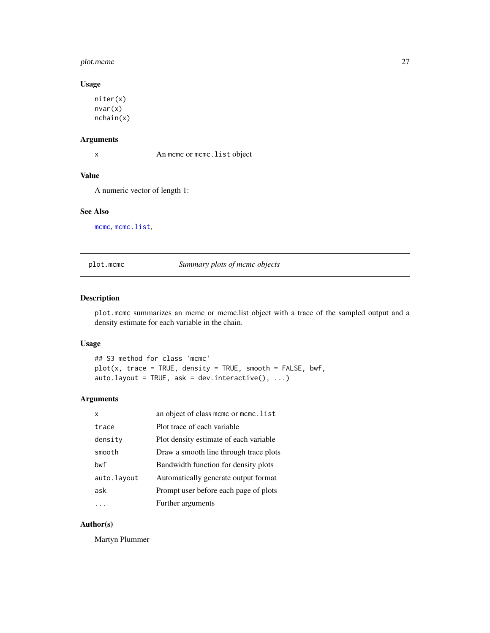## <span id="page-26-0"></span>plot.mcmc 27

## Usage

```
niter(x)
nvar(x)
nchain(x)
```
## Arguments

x An mcmc or mcmc.list object

## Value

A numeric vector of length 1:

#### See Also

[mcmc](#page-20-2), [mcmc.list](#page-22-1),

<span id="page-26-1"></span>plot.mcmc *Summary plots of mcmc objects*

## Description

plot.mcmc summarizes an mcmc or mcmc.list object with a trace of the sampled output and a density estimate for each variable in the chain.

## Usage

## S3 method for class 'mcmc'  $plot(x, trace = TRUE, density = TRUE, smooth = FALSE, bwf,$ auto.layout = TRUE, ask = dev.interactive(),  $\dots$ )

## Arguments

| x           | an object of class mcmc or mcmc.list   |
|-------------|----------------------------------------|
| trace       | Plot trace of each variable            |
| density     | Plot density estimate of each variable |
| smooth      | Draw a smooth line through trace plots |
| bwf         | Bandwidth function for density plots   |
| auto.layout | Automatically generate output format   |
| ask         | Prompt user before each page of plots  |
|             | Further arguments                      |

## Author(s)

Martyn Plummer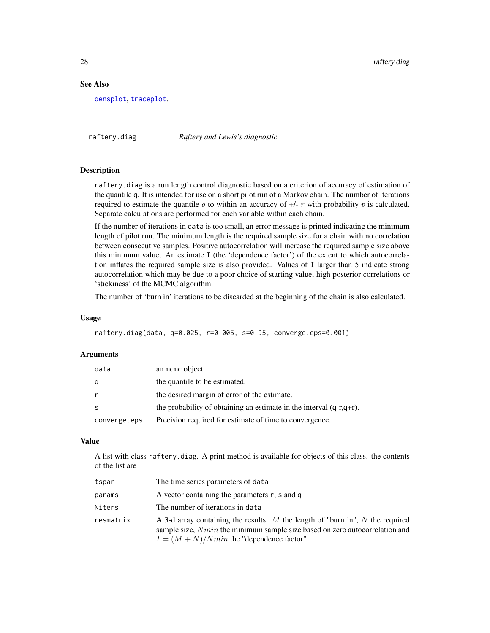## See Also

[densplot](#page-10-1), [traceplot](#page-37-1).

raftery.diag *Raftery and Lewis's diagnostic*

#### Description

raftery.diag is a run length control diagnostic based on a criterion of accuracy of estimation of the quantile q. It is intended for use on a short pilot run of a Markov chain. The number of iterations required to estimate the quantile q to within an accuracy of  $+/-r$  with probability p is calculated. Separate calculations are performed for each variable within each chain.

If the number of iterations in data is too small, an error message is printed indicating the minimum length of pilot run. The minimum length is the required sample size for a chain with no correlation between consecutive samples. Positive autocorrelation will increase the required sample size above this minimum value. An estimate I (the 'dependence factor') of the extent to which autocorrelation inflates the required sample size is also provided. Values of I larger than 5 indicate strong autocorrelation which may be due to a poor choice of starting value, high posterior correlations or 'stickiness' of the MCMC algorithm.

The number of 'burn in' iterations to be discarded at the beginning of the chain is also calculated.

#### Usage

raftery.diag(data, q=0.025, r=0.005, s=0.95, converge.eps=0.001)

#### Arguments

| data         | an mome object                                                         |
|--------------|------------------------------------------------------------------------|
| q            | the quantile to be estimated.                                          |
| r            | the desired margin of error of the estimate.                           |
| S            | the probability of obtaining an estimate in the interval $(q-r,q+r)$ . |
| converge.eps | Precision required for estimate of time to convergence.                |

## Value

A list with class raftery.diag. A print method is available for objects of this class. the contents of the list are

| tspar     | The time series parameters of data                                                                                                                                                                            |
|-----------|---------------------------------------------------------------------------------------------------------------------------------------------------------------------------------------------------------------|
| params    | A vector containing the parameters $r$ , s and q                                                                                                                                                              |
| Niters    | The number of iterations in data                                                                                                                                                                              |
| resmatrix | A 3-d array containing the results: M the length of "burn in", N the required<br>sample size, $Nmin$ the minimum sample size based on zero autocorrelation and<br>$I = (M + N)/N$ min the "dependence factor" |

<span id="page-27-0"></span>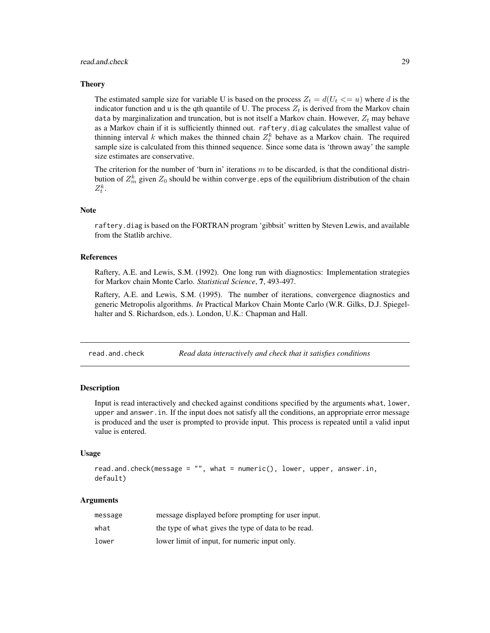#### <span id="page-28-0"></span>read.and.check 29

#### Theory

The estimated sample size for variable U is based on the process  $Z_t = d(U_t \leq u)$  where d is the indicator function and u is the qth quantile of U. The process  $Z_t$  is derived from the Markov chain data by marginalization and truncation, but is not itself a Markov chain. However,  $Z_t$  may behave as a Markov chain if it is sufficiently thinned out. raftery.diag calculates the smallest value of thinning interval k which makes the thinned chain  $Z_t^k$  behave as a Markov chain. The required sample size is calculated from this thinned sequence. Since some data is 'thrown away' the sample size estimates are conservative.

The criterion for the number of 'burn in' iterations  $m$  to be discarded, is that the conditional distribution of  $Z_m^k$  given  $Z_0$  should be within converge.eps of the equilibrium distribution of the chain  $Z_t^k$ .

#### **Note**

raftery.diag is based on the FORTRAN program 'gibbsit' written by Steven Lewis, and available from the Statlib archive.

#### References

Raftery, A.E. and Lewis, S.M. (1992). One long run with diagnostics: Implementation strategies for Markov chain Monte Carlo. *Statistical Science*, 7, 493-497.

Raftery, A.E. and Lewis, S.M. (1995). The number of iterations, convergence diagnostics and generic Metropolis algorithms. *In* Practical Markov Chain Monte Carlo (W.R. Gilks, D.J. Spiegelhalter and S. Richardson, eds.). London, U.K.: Chapman and Hall.

read.and.check *Read data interactively and check that it satisfies conditions*

## **Description**

Input is read interactively and checked against conditions specified by the arguments what, lower, upper and answer.in. If the input does not satisfy all the conditions, an appropriate error message is produced and the user is prompted to provide input. This process is repeated until a valid input value is entered.

#### Usage

```
read.and.check(message = "", what = numeric(), lower, upper, answer.in,
default)
```
#### Arguments

| message | message displayed before prompting for user input.  |
|---------|-----------------------------------------------------|
| what    | the type of what gives the type of data to be read. |
| lower   | lower limit of input, for numeric input only.       |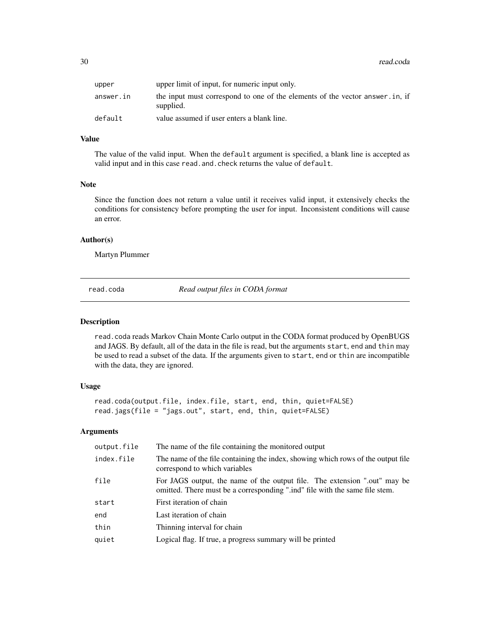<span id="page-29-0"></span>

| upper     | upper limit of input, for numeric input only.                                              |
|-----------|--------------------------------------------------------------------------------------------|
| answer.in | the input must correspond to one of the elements of the vector answer. in, if<br>supplied. |
| default   | value assumed if user enters a blank line.                                                 |

## Value

The value of the valid input. When the default argument is specified, a blank line is accepted as valid input and in this case read. and. check returns the value of default.

## Note

Since the function does not return a value until it receives valid input, it extensively checks the conditions for consistency before prompting the user for input. Inconsistent conditions will cause an error.

#### Author(s)

Martyn Plummer

<span id="page-29-1"></span>read.coda *Read output files in CODA format*

## Description

read.coda reads Markov Chain Monte Carlo output in the CODA format produced by OpenBUGS and JAGS. By default, all of the data in the file is read, but the arguments start, end and thin may be used to read a subset of the data. If the arguments given to start, end or thin are incompatible with the data, they are ignored.

## Usage

```
read.coda(output.file, index.file, start, end, thin, quiet=FALSE)
read.jags(file = "jags.out", start, end, thin, quiet=FALSE)
```
## Arguments

| output.file | The name of the file containing the monitored output                                                                                                     |
|-------------|----------------------------------------------------------------------------------------------------------------------------------------------------------|
| index.file  | The name of the file containing the index, showing which rows of the output file<br>correspond to which variables                                        |
| file        | For JAGS output, the name of the output file. The extension ".out" may be<br>omitted. There must be a corresponding ".ind" file with the same file stem. |
| start       | First iteration of chain                                                                                                                                 |
| end         | Last iteration of chain                                                                                                                                  |
| thin        | Thinning interval for chain                                                                                                                              |
| quiet       | Logical flag. If true, a progress summary will be printed                                                                                                |
|             |                                                                                                                                                          |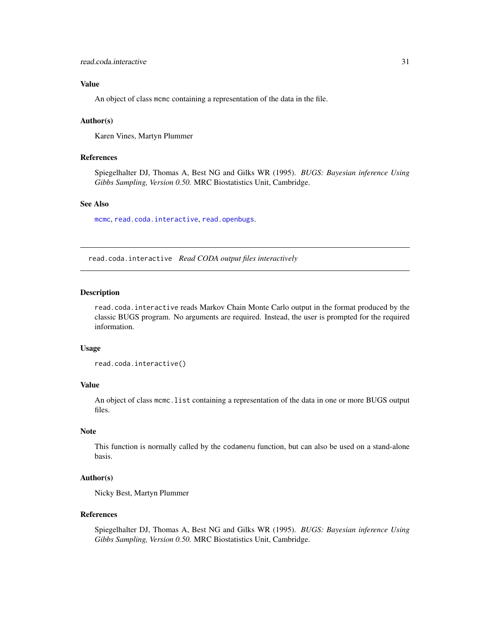## <span id="page-30-0"></span>Value

An object of class mcmc containing a representation of the data in the file.

## Author(s)

Karen Vines, Martyn Plummer

## References

Spiegelhalter DJ, Thomas A, Best NG and Gilks WR (1995). *BUGS: Bayesian inference Using Gibbs Sampling, Version 0.50.* MRC Biostatistics Unit, Cambridge.

## See Also

[mcmc](#page-20-2), [read.coda.interactive](#page-30-1), [read.openbugs](#page-31-1).

<span id="page-30-1"></span>read.coda.interactive *Read CODA output files interactively*

## Description

read.coda.interactive reads Markov Chain Monte Carlo output in the format produced by the classic BUGS program. No arguments are required. Instead, the user is prompted for the required information.

#### Usage

```
read.coda.interactive()
```
## Value

An object of class mcmc.list containing a representation of the data in one or more BUGS output files.

## Note

This function is normally called by the codamenu function, but can also be used on a stand-alone basis.

#### Author(s)

Nicky Best, Martyn Plummer

## References

Spiegelhalter DJ, Thomas A, Best NG and Gilks WR (1995). *BUGS: Bayesian inference Using Gibbs Sampling, Version 0.50.* MRC Biostatistics Unit, Cambridge.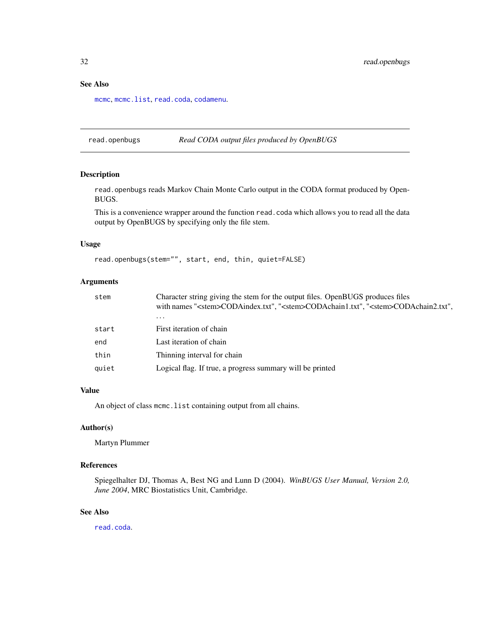## <span id="page-31-0"></span>See Also

[mcmc](#page-20-2), [mcmc.list](#page-22-1), [read.coda](#page-29-1), [codamenu](#page-8-1).

<span id="page-31-1"></span>read.openbugs *Read CODA output files produced by OpenBUGS*

#### Description

read.openbugs reads Markov Chain Monte Carlo output in the CODA format produced by Open-BUGS.

This is a convenience wrapper around the function read.coda which allows you to read all the data output by OpenBUGS by specifying only the file stem.

## Usage

```
read.openbugs(stem="", start, end, thin, quiet=FALSE)
```
## Arguments

| stem  | Character string giving the stem for the output files. OpenBUGS produces files<br>with names " <stem>CODAindex.txt", "<stem>CODAchain1.txt", "<stem>CODAchain2.txt",</stem></stem></stem> |
|-------|-------------------------------------------------------------------------------------------------------------------------------------------------------------------------------------------|
|       | $\cdots$                                                                                                                                                                                  |
| start | First iteration of chain                                                                                                                                                                  |
| end   | Last iteration of chain                                                                                                                                                                   |
| thin  | Thinning interval for chain                                                                                                                                                               |
| auiet | Logical flag. If true, a progress summary will be printed                                                                                                                                 |

#### Value

An object of class mcmc.list containing output from all chains.

## Author(s)

Martyn Plummer

## References

Spiegelhalter DJ, Thomas A, Best NG and Lunn D (2004). *WinBUGS User Manual, Version 2.0, June 2004*, MRC Biostatistics Unit, Cambridge.

## See Also

[read.coda](#page-29-1).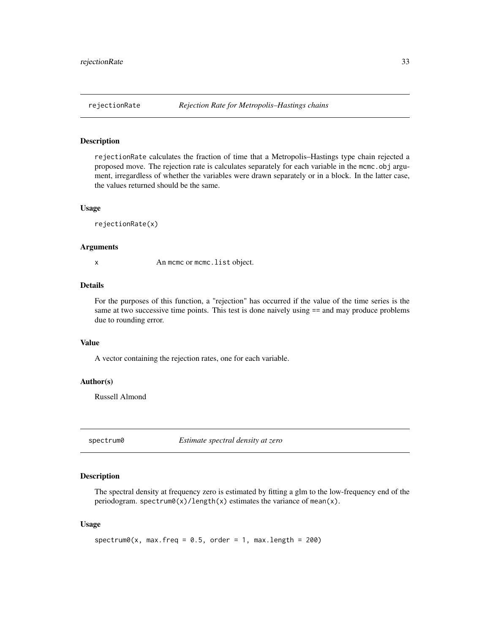<span id="page-32-0"></span>rejectionRate calculates the fraction of time that a Metropolis–Hastings type chain rejected a proposed move. The rejection rate is calculates separately for each variable in the mcmc.obj argument, irregardless of whether the variables were drawn separately or in a block. In the latter case, the values returned should be the same.

#### Usage

rejectionRate(x)

## Arguments

x An mcmc or mcmc.list object.

## Details

For the purposes of this function, a "rejection" has occurred if the value of the time series is the same at two successive time points. This test is done naively using  $==$  and may produce problems due to rounding error.

## Value

A vector containing the rejection rates, one for each variable.

## Author(s)

Russell Almond

<span id="page-32-1"></span>spectrum0 *Estimate spectral density at zero*

#### Description

The spectral density at frequency zero is estimated by fitting a glm to the low-frequency end of the periodogram. spectrum0(x)/length(x) estimates the variance of mean(x).

#### Usage

```
spectrum0(x, max.freq = 0.5, order = 1, max.length = 200)
```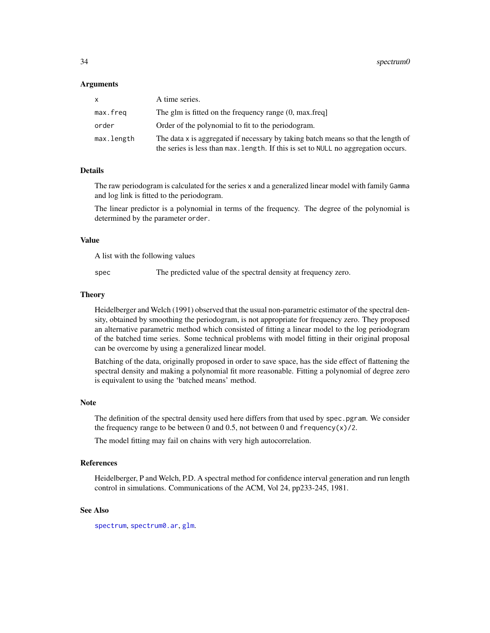#### <span id="page-33-0"></span>Arguments

| <b>X</b>   | A time series.                                                                                                                                                             |
|------------|----------------------------------------------------------------------------------------------------------------------------------------------------------------------------|
| max.freq   | The glm is fitted on the frequency range (0, max.freq)                                                                                                                     |
| order      | Order of the polynomial to fit to the periodogram.                                                                                                                         |
| max.length | The data x is aggregated if necessary by taking batch means so that the length of<br>the series is less than $max$ . Length. If this is set to NULL no aggregation occurs. |

#### Details

The raw periodogram is calculated for the series x and a generalized linear model with family Gamma and log link is fitted to the periodogram.

The linear predictor is a polynomial in terms of the frequency. The degree of the polynomial is determined by the parameter order.

#### Value

A list with the following values

spec The predicted value of the spectral density at frequency zero.

#### Theory

Heidelberger and Welch (1991) observed that the usual non-parametric estimator of the spectral density, obtained by smoothing the periodogram, is not appropriate for frequency zero. They proposed an alternative parametric method which consisted of fitting a linear model to the log periodogram of the batched time series. Some technical problems with model fitting in their original proposal can be overcome by using a generalized linear model.

Batching of the data, originally proposed in order to save space, has the side effect of flattening the spectral density and making a polynomial fit more reasonable. Fitting a polynomial of degree zero is equivalent to using the 'batched means' method.

#### **Note**

The definition of the spectral density used here differs from that used by spec.pgram. We consider the frequency range to be between 0 and 0.5, not between 0 and frequency(x)/2.

The model fitting may fail on chains with very high autocorrelation.

## References

Heidelberger, P and Welch, P.D. A spectral method for confidence interval generation and run length control in simulations. Communications of the ACM, Vol 24, pp233-245, 1981.

## See Also

[spectrum](#page-0-0), [spectrum0.ar](#page-34-1), [glm](#page-0-0).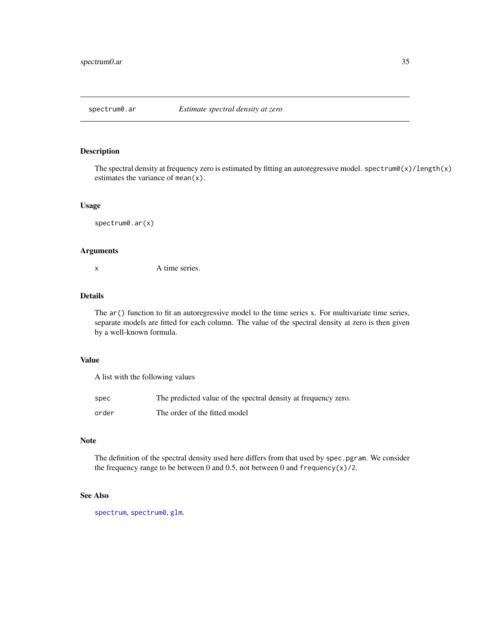<span id="page-34-1"></span><span id="page-34-0"></span>

The spectral density at frequency zero is estimated by fitting an autoregressive model. spectrum0(x)/length(x) estimates the variance of mean(x).

## Usage

spectrum0.ar(x)

## Arguments

x A time series.

## Details

The  $ar()$  function to fit an autoregressive model to the time series x. For multivariate time series, separate models are fitted for each column. The value of the spectral density at zero is then given by a well-known formula.

## Value

A list with the following values

| spec  | The predicted value of the spectral density at frequency zero. |
|-------|----------------------------------------------------------------|
| order | The order of the fitted model                                  |

#### Note

The definition of the spectral density used here differs from that used by spec.pgram. We consider the frequency range to be between 0 and 0.5, not between 0 and  $f$ requency(x)/2.

## See Also

[spectrum](#page-0-0), [spectrum0](#page-32-1), [glm](#page-0-0).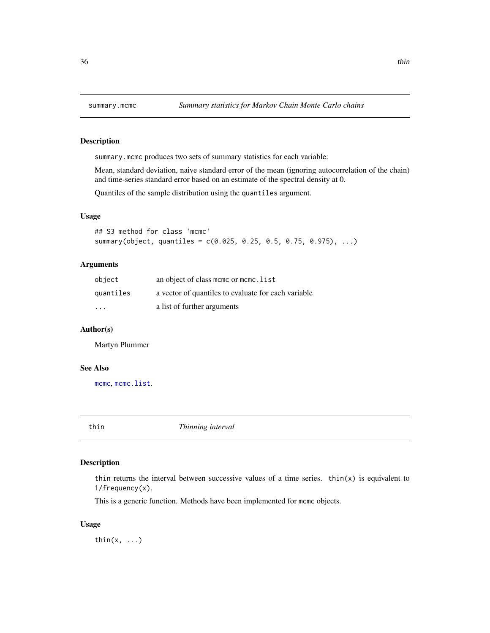<span id="page-35-1"></span><span id="page-35-0"></span>

summary.mcmc produces two sets of summary statistics for each variable:

Mean, standard deviation, naive standard error of the mean (ignoring autocorrelation of the chain) and time-series standard error based on an estimate of the spectral density at 0.

Quantiles of the sample distribution using the quantiles argument.

#### Usage

```
## S3 method for class 'mcmc'
summary(object, quantiles = c(0.025, 0.25, 0.5, 0.75, 0.975), ...)
```
## Arguments

| object                  | an object of class mcmc or mcmc. list               |
|-------------------------|-----------------------------------------------------|
| quantiles               | a vector of quantiles to evaluate for each variable |
| $\cdot$ $\cdot$ $\cdot$ | a list of further arguments                         |

## Author(s)

Martyn Plummer

#### See Also

[mcmc](#page-20-2), [mcmc.list](#page-22-1).

<span id="page-35-2"></span>

thin *Thinning interval*

## Description

thin returns the interval between successive values of a time series. thin(x) is equivalent to 1/frequency(x).

This is a generic function. Methods have been implemented for mcmc objects.

## Usage

thin( $x, \ldots$ )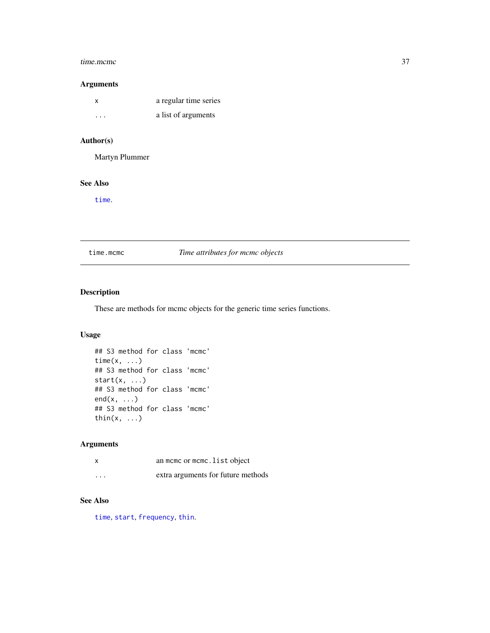#### <span id="page-36-0"></span>time.mcmc 37

## Arguments

| x       | a regular time series |
|---------|-----------------------|
| $\cdot$ | a list of arguments   |

## Author(s)

Martyn Plummer

## See Also

[time](#page-0-0).

time.mcmc *Time attributes for mcmc objects*

## Description

These are methods for mcmc objects for the generic time series functions.

## Usage

```
## S3 method for class 'mcmc'
time(x, ...)
## S3 method for class 'mcmc'
start(x, \ldots)## S3 method for class 'mcmc'
end(x, \ldots)## S3 method for class 'mcmc'
thin(x, \ldots)
```
## Arguments

|          | an mome or mome. List object       |
|----------|------------------------------------|
| $\cdots$ | extra arguments for future methods |

## See Also

[time](#page-0-0), [start](#page-0-0), [frequency](#page-0-0), [thin](#page-35-2).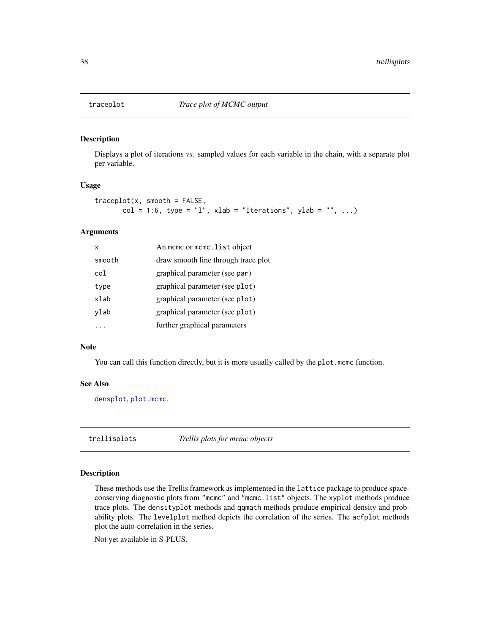<span id="page-37-1"></span><span id="page-37-0"></span>

Displays a plot of iterations *vs.* sampled values for each variable in the chain, with a separate plot per variable.

## Usage

```
traceplot(x, smooth = FALSE,col = 1:6, type = "l", xlab = "Iterations", ylab = "", ...)
```
## **Arguments**

| x      | An momo or momo. list object        |
|--------|-------------------------------------|
| smooth | draw smooth line through trace plot |
| co l   | graphical parameter (see par)       |
| type   | graphical parameter (see plot)      |
| xlab   | graphical parameter (see plot)      |
| ylab   | graphical parameter (see plot)      |
|        | further graphical parameters        |

## Note

You can call this function directly, but it is more usually called by the plot. mcmc function.

#### See Also

[densplot](#page-10-1), [plot.mcmc](#page-26-1).

trellisplots *Trellis plots for mcmc objects*

## Description

These methods use the Trellis framework as implemented in the lattice package to produce spaceconserving diagnostic plots from "mcmc" and "mcmc.list" objects. The xyplot methods produce trace plots. The densityplot methods and qqmath methods produce empirical density and probability plots. The levelplot method depicts the correlation of the series. The acfplot methods plot the auto-correlation in the series.

Not yet available in S-PLUS.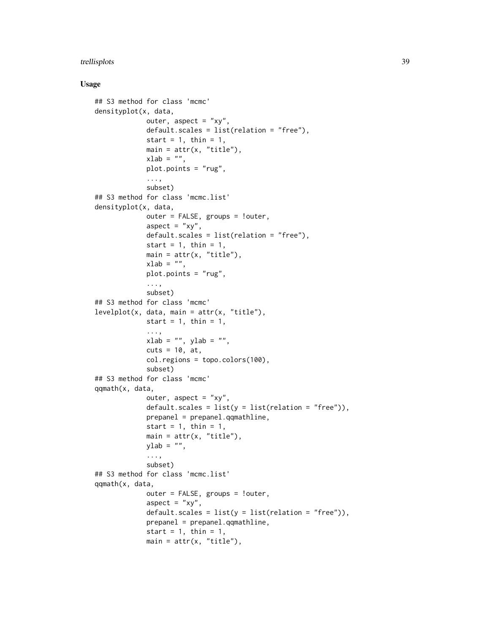## trellisplots 39

## Usage

```
## S3 method for class 'mcmc'
densityplot(x, data,
             outer, aspect = "xy",
             default.scales = list(relation = "free"),
             start = 1, thin = 1,
             main = attr(x, "title"),xlab = "",
             plot.points = "rug",
             ...,
             subset)
## S3 method for class 'mcmc.list'
densityplot(x, data,
             outer = FALSE, groups = !outer,
             aspect = "xy",default.scales = list(relation = "free"),
             start = 1, thin = 1,
             main = attr(x, "title"),xlab = "",
             plot.points = "rug",
             ...,
             subset)
## S3 method for class 'mcmc'
levelplot(x, data, main = attr(x, "title"),
             start = 1, thin = 1,
             ...,
             xlab = "", ylab = "",
             cuts = 10, at,col.regions = topo.colors(100),
             subset)
## S3 method for class 'mcmc'
qqmath(x, data,
             outer, aspect = "xy",default.scales = list(y = list(relation = "free")),
             prepanel = prepanel.qqmathline,
             start = 1, thin = 1,
             main = attr(x, "title"),ylab = "",
             ...,
             subset)
## S3 method for class 'mcmc.list'
qqmath(x, data,
             outer = FALSE, groups = !outer,
             aspect = "xy",
             default.scales = list(y = list(relation = "free")),
             prepanel = prepanel.qqmathline,
             start = 1, thin = 1,
             main = attr(x, "title"),
```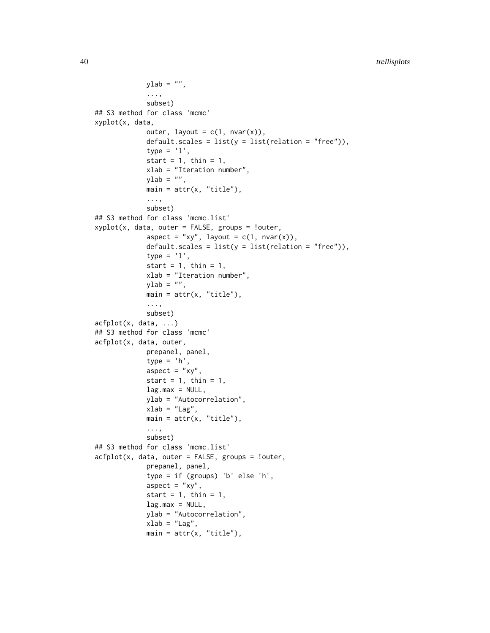```
ylab = "",
             ...,
             subset)
## S3 method for class 'mcmc'
xyplot(x, data,
             outer, layout = c(1, nvar(x)),default.scales = list(y = list(relation = "free")),
             type = '1',
             start = 1, thin = 1,
             xlab = "Iteration number",
             ylab = "",
             main = attr(x, "title"),...,
             subset)
## S3 method for class 'mcmc.list'
xyplot(x, data, outer = FALSE, groups = !outer,aspect = "xy", layout = c(1, nvar(x)),default.scales = list(y = list(relation = "free")),
             type = '1',
             start = 1, thin = 1,
             xlab = "Iteration number",
             ylab = "".main = attr(x, "title"),
             ...,
             subset)
acfplot(x, data, ...)
## S3 method for class 'mcmc'
acfplot(x, data, outer,
             prepanel, panel,
             type = 'h',
             aspect = "xy",
             start = 1, thin = 1,
             lag.max = NULL,ylab = "Autocorrelation",
             xlab = "Lag",main = attr(x, "title"),...,
             subset)
## S3 method for class 'mcmc.list'
acfplot(x, data, outer = FALSE, groups = !outer,prepanel, panel,
             type = if (groups) 'b' else 'h',
             aspect = "xy",
             start = 1, thin = 1,
             lag.max = NULL,ylab = "Autocorrelation",
             xlab = "Lag",
             main = attr(x, "title"),
```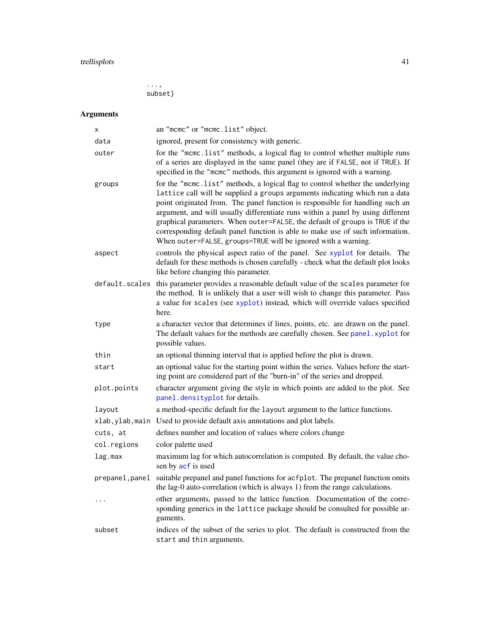# <span id="page-40-0"></span>trellisplots 41

..., subset)

# Arguments

| х              | an "mcmc" or "mcmc.list" object.                                                                                                                                                                                                                                                                                                                                                                                                                                                                                                                                    |
|----------------|---------------------------------------------------------------------------------------------------------------------------------------------------------------------------------------------------------------------------------------------------------------------------------------------------------------------------------------------------------------------------------------------------------------------------------------------------------------------------------------------------------------------------------------------------------------------|
| data           | ignored, present for consistency with generic.                                                                                                                                                                                                                                                                                                                                                                                                                                                                                                                      |
| outer          | for the "mcmc.list" methods, a logical flag to control whether multiple runs<br>of a series are displayed in the same panel (they are if FALSE, not if TRUE). If<br>specified in the "mcmc" methods, this argument is ignored with a warning.                                                                                                                                                                                                                                                                                                                       |
| groups         | for the "mcmc.list" methods, a logical flag to control whether the underlying<br>lattice call will be supplied a groups arguments indicating which run a data<br>point originated from. The panel function is responsible for handling such an<br>argument, and will usually differentiate runs within a panel by using different<br>graphical parameters. When outer=FALSE, the default of groups is TRUE if the<br>corresponding default panel function is able to make use of such information.<br>When outer=FALSE, groups=TRUE will be ignored with a warning. |
| aspect         | controls the physical aspect ratio of the panel. See xyplot for details. The<br>default for these methods is chosen carefully - check what the default plot looks<br>like before changing this parameter.                                                                                                                                                                                                                                                                                                                                                           |
| default.scales | this parameter provides a reasonable default value of the scales parameter for<br>the method. It is unlikely that a user will wish to change this parameter. Pass<br>a value for scales (see xyplot) instead, which will override values specified<br>here.                                                                                                                                                                                                                                                                                                         |
| type           | a character vector that determines if lines, points, etc. are drawn on the panel.<br>The default values for the methods are carefully chosen. See panel. xyplot for<br>possible values.                                                                                                                                                                                                                                                                                                                                                                             |
| thin           | an optional thinning interval that is applied before the plot is drawn.                                                                                                                                                                                                                                                                                                                                                                                                                                                                                             |
| start          | an optional value for the starting point within the series. Values before the start-<br>ing point are considered part of the "burn-in" of the series and dropped.                                                                                                                                                                                                                                                                                                                                                                                                   |
| plot.points    | character argument giving the style in which points are added to the plot. See<br>panel.densityplot for details.                                                                                                                                                                                                                                                                                                                                                                                                                                                    |
| layout         | a method-specific default for the layout argument to the lattice functions.                                                                                                                                                                                                                                                                                                                                                                                                                                                                                         |
|                | xlab, ylab, main Used to provide default axis annotations and plot labels.                                                                                                                                                                                                                                                                                                                                                                                                                                                                                          |
| cuts, at       | defines number and location of values where colors change                                                                                                                                                                                                                                                                                                                                                                                                                                                                                                           |
| col.regions    | color palette used                                                                                                                                                                                                                                                                                                                                                                                                                                                                                                                                                  |
| lag.max        | maximum lag for which autocorrelation is computed. By default, the value cho-<br>sen by acf is used                                                                                                                                                                                                                                                                                                                                                                                                                                                                 |
| prepanel,panel | suitable prepanel and panel functions for acfplot. The prepanel function omits<br>the lag-0 auto-correlation (which is always 1) from the range calculations.                                                                                                                                                                                                                                                                                                                                                                                                       |
| $\cdots$       | other arguments, passed to the lattice function. Documentation of the corre-<br>sponding generics in the lattice package should be consulted for possible ar-<br>guments.                                                                                                                                                                                                                                                                                                                                                                                           |
| subset         | indices of the subset of the series to plot. The default is constructed from the<br>start and thin arguments.                                                                                                                                                                                                                                                                                                                                                                                                                                                       |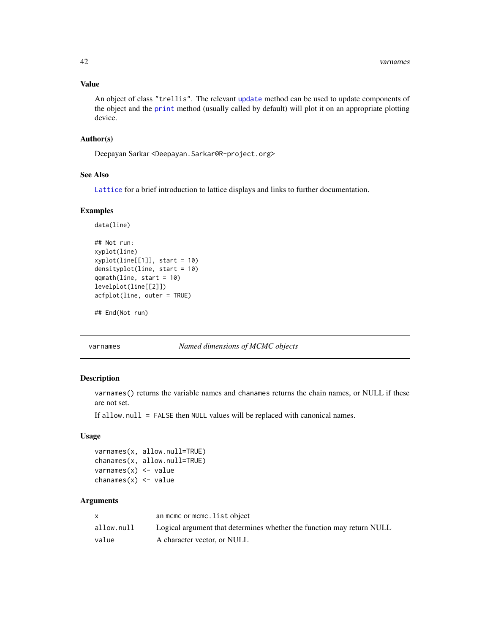## <span id="page-41-0"></span>Value

An object of class "trellis". The relevant [update](#page-0-0) method can be used to update components of the object and the [print](#page-0-0) method (usually called by default) will plot it on an appropriate plotting device.

#### Author(s)

Deepayan Sarkar <Deepayan.Sarkar@R-project.org>

## See Also

[Lattice](#page-0-0) for a brief introduction to lattice displays and links to further documentation.

## Examples

```
data(line)
## Not run:
xyplot(line)
xyplot(line[[1]], start = 10)densityplot(line, start = 10)
qqmath(line, start = 10)
levelplot(line[[2]])
acfplot(line, outer = TRUE)
```
## End(Not run)

varnames *Named dimensions of MCMC objects*

## Description

varnames() returns the variable names and chanames returns the chain names, or NULL if these are not set.

If allow.null = FALSE then NULL values will be replaced with canonical names.

#### Usage

```
varnames(x, allow.null=TRUE)
chanames(x, allow.null=TRUE)
varnames(x) <- value
chanames(x) < - value
```
## Arguments

|            | an mome or mome. list object                                          |
|------------|-----------------------------------------------------------------------|
| allow.null | Logical argument that determines whether the function may return NULL |
| value      | A character vector, or NULL                                           |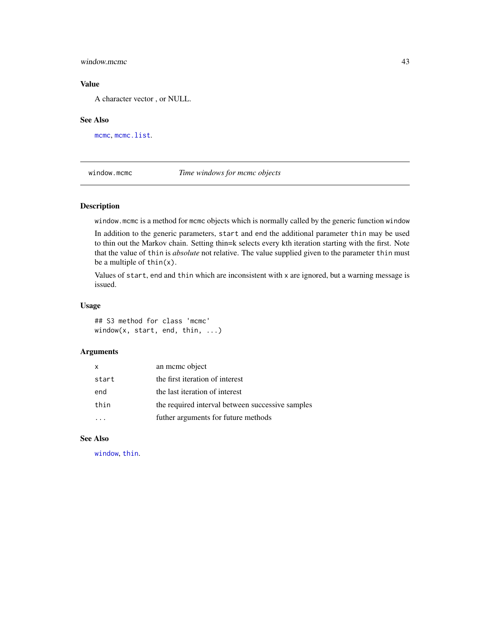## <span id="page-42-0"></span>window.mcmc 43

## Value

A character vector , or NULL.

#### See Also

[mcmc](#page-20-2), [mcmc.list](#page-22-1).

<span id="page-42-1"></span>window.mcmc *Time windows for mcmc objects*

## Description

window.mcmc is a method for mcmc objects which is normally called by the generic function window

In addition to the generic parameters, start and end the additional parameter thin may be used to thin out the Markov chain. Setting thin=k selects every kth iteration starting with the first. Note that the value of thin is *absolute* not relative. The value supplied given to the parameter thin must be a multiple of thin(x).

Values of start, end and thin which are inconsistent with x are ignored, but a warning message is issued.

#### Usage

## S3 method for class 'mcmc' window(x, start, end, thin, ...)

## Arguments

| $\mathsf{x}$ | an meme object                                   |
|--------------|--------------------------------------------------|
| start        | the first iteration of interest                  |
| end          | the last iteration of interest                   |
| thin         | the required interval between successive samples |
|              | futher arguments for future methods              |

#### See Also

[window](#page-0-0), [thin](#page-35-2).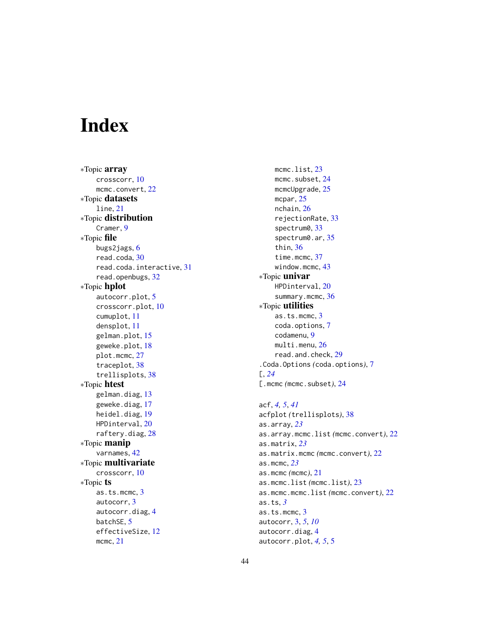# <span id="page-43-0"></span>Index

∗Topic array crosscorr, [10](#page-9-0) mcmc.convert, [22](#page-21-0) ∗Topic datasets line, [21](#page-20-0) ∗Topic distribution Cramer, [9](#page-8-0) ∗Topic file bugs2jags, [6](#page-5-0) read.coda, [30](#page-29-0) read.coda.interactive, [31](#page-30-0) read.openbugs, [32](#page-31-0) ∗Topic hplot autocorr.plot, [5](#page-4-0) crosscorr.plot, [10](#page-9-0) cumuplot, [11](#page-10-0) densplot, [11](#page-10-0) gelman.plot, [15](#page-14-0) geweke.plot, [18](#page-17-0) plot.mcmc, [27](#page-26-0) traceplot, [38](#page-37-0) trellisplots, [38](#page-37-0) ∗Topic htest gelman.diag, [13](#page-12-0) geweke.diag, [17](#page-16-0) heidel.diag, [19](#page-18-0) HPDinterval, [20](#page-19-0) raftery.diag, [28](#page-27-0) ∗Topic manip varnames, [42](#page-41-0) ∗Topic multivariate crosscorr, [10](#page-9-0) ∗Topic ts as.ts.mcmc, [3](#page-2-0) autocorr, [3](#page-2-0) autocorr.diag, [4](#page-3-0) batchSE, [5](#page-4-0) effectiveSize, [12](#page-11-0) mcmc, [21](#page-20-0)

mcmc.list.[23](#page-22-0) mcmc.subset, [24](#page-23-0) mcmcUpgrade, [25](#page-24-0) mcpar, [25](#page-24-0) nchain, [26](#page-25-0) rejectionRate, [33](#page-32-0) spectrum0, [33](#page-32-0) spectrum0.ar, [35](#page-34-0) thin, [36](#page-35-0) time.mcmc, [37](#page-36-0) window.mcmc, [43](#page-42-0) ∗Topic univar HPDinterval, [20](#page-19-0) summary.mcmc, [36](#page-35-0) ∗Topic utilities as.ts.mcmc, [3](#page-2-0) coda.options, [7](#page-6-0) codamenu, [9](#page-8-0) multi.menu, [26](#page-25-0) read.and.check, [29](#page-28-0) .Coda.Options *(*coda.options*)*, [7](#page-6-0) [, *[24](#page-23-0)* [.mcmc *(*mcmc.subset*)*, [24](#page-23-0)

acf, *[4,](#page-3-0) [5](#page-4-0)*, *[41](#page-40-0)* acfplot *(*trellisplots*)*, [38](#page-37-0) as.array, *[23](#page-22-0)* as.array.mcmc.list *(*mcmc.convert*)*, [22](#page-21-0) as.matrix, *[23](#page-22-0)* as.matrix.mcmc *(*mcmc.convert*)*, [22](#page-21-0) as.mcmc, *[23](#page-22-0)* as.mcmc *(*mcmc*)*, [21](#page-20-0) as.mcmc.list *(*mcmc.list*)*, [23](#page-22-0) as.mcmc.mcmc.list *(*mcmc.convert*)*, [22](#page-21-0) as.ts, *[3](#page-2-0)* as.ts.mcmc, [3](#page-2-0) autocorr, [3,](#page-2-0) *[5](#page-4-0)*, *[10](#page-9-0)* autocorr.diag, [4](#page-3-0) autocorr.plot, *[4,](#page-3-0) [5](#page-4-0)*, [5](#page-4-0)